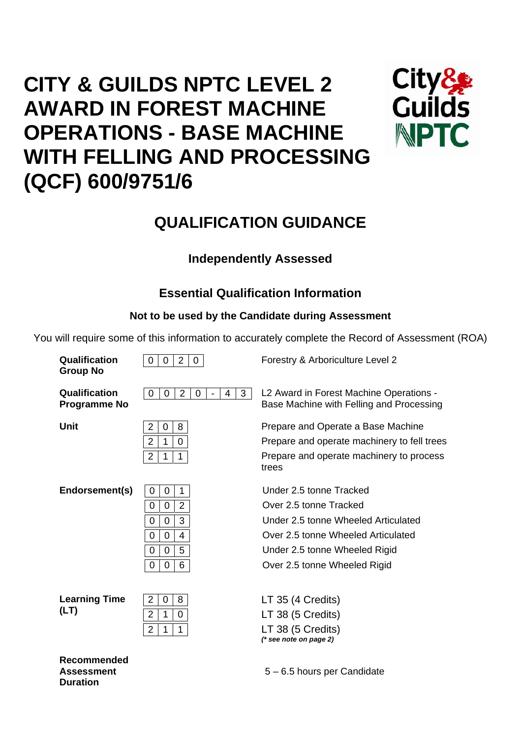# **CITY & GUILDS NPTC LEVEL 2 AWARD IN FOREST MACHINE OPERATIONS - BASE MACHINE WITH FELLING AND PROCESSING (QCF) 600/9751/6**



## **QUALIFICATION GUIDANCE**

## **Independently Assessed**

## **Essential Qualification Information**

## **Not to be used by the Candidate during Assessment**

You will require some of this information to accurately complete the Record of Assessment (ROA)

| Qualification<br><b>Group No</b>     | 2<br>$\overline{0}$<br>0<br>0                                                                                 | Forestry & Arboriculture Level 2                                                                                                                                                                |
|--------------------------------------|---------------------------------------------------------------------------------------------------------------|-------------------------------------------------------------------------------------------------------------------------------------------------------------------------------------------------|
| Qualification<br><b>Programme No</b> | $\overline{2}$<br>3<br>0<br>4<br>0<br>0<br>$\blacksquare$                                                     | L2 Award in Forest Machine Operations -<br>Base Machine with Felling and Processing                                                                                                             |
| Unit                                 | $\overline{2}$<br>8<br>0<br>2<br>$\mathbf 0$<br>1<br>2<br>1<br>1                                              | Prepare and Operate a Base Machine<br>Prepare and operate machinery to fell trees<br>Prepare and operate machinery to process<br>trees                                                          |
| Endorsement(s)                       | 0<br>0<br>1<br>$\mathbf 0$<br>$\overline{2}$<br>0<br>3<br>0<br>0<br>0<br>0<br>4<br>5<br>0<br>0<br>6<br>0<br>0 | Under 2.5 tonne Tracked<br>Over 2.5 tonne Tracked<br>Under 2.5 tonne Wheeled Articulated<br>Over 2.5 tonne Wheeled Articulated<br>Under 2.5 tonne Wheeled Rigid<br>Over 2.5 tonne Wheeled Rigid |
| <b>Learning Time</b><br>(LT)         | $\overline{2}$<br>8<br>0<br>$\overline{2}$<br>$\mathbf 0$<br>1<br>$\overline{2}$<br>1<br>1                    | LT 35 (4 Credits)<br>LT 38 (5 Credits)<br>LT 38 (5 Credits)<br>$(*$ see note on page 2)                                                                                                         |
| المتحالم                             |                                                                                                               |                                                                                                                                                                                                 |

**Recommended Assessment Duration** 

5 – 6.5 hours per Candidate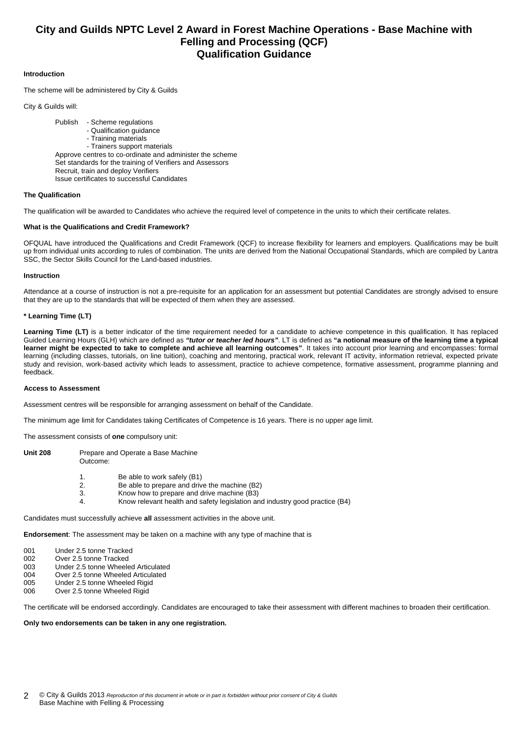### **City and Guilds NPTC Level 2 Award in Forest Machine Operations - Base Machine with Felling and Processing (QCF) Qualification Guidance**

#### **Introduction**

The scheme will be administered by City & Guilds

City & Guilds will:

 Publish - Scheme regulations - Qualification guidance - Training materials - Trainers support materials Approve centres to co-ordinate and administer the scheme Set standards for the training of Verifiers and Assessors Recruit, train and deploy Verifiers Issue certificates to successful Candidates

#### **The Qualification**

The qualification will be awarded to Candidates who achieve the required level of competence in the units to which their certificate relates.

#### **What is the Qualifications and Credit Framework?**

OFQUAL have introduced the Qualifications and Credit Framework (QCF) to increase flexibility for learners and employers. Qualifications may be built up from individual units according to rules of combination. The units are derived from the National Occupational Standards, which are compiled by Lantra SSC, the Sector Skills Council for the Land-based industries.

#### **Instruction**

Attendance at a course of instruction is not a pre-requisite for an application for an assessment but potential Candidates are strongly advised to ensure that they are up to the standards that will be expected of them when they are assessed.

#### **\* Learning Time (LT)**

Learning Time (LT) is a better indicator of the time requirement needed for a candidate to achieve competence in this qualification. It has replaced Guided Learning Hours (GLH) which are defined as *"tutor or teacher led hours"*. LT is defined as **"a notional measure of the learning time a typical learner might be expected to take to complete and achieve all learning outcomes"**. It takes into account prior learning and encompasses: formal learning (including classes, tutorials, on line tuition), coaching and mentoring, practical work, relevant IT activity, information retrieval, expected private study and revision, work-based activity which leads to assessment, practice to achieve competence, formative assessment, programme planning and feedback.

#### **Access to Assessment**

Assessment centres will be responsible for arranging assessment on behalf of the Candidate.

The minimum age limit for Candidates taking Certificates of Competence is 16 years. There is no upper age limit.

The assessment consists of **one** compulsory unit:

| <b>Unit 208</b> | Prepare and Operate a Base Machine<br>Outcome: |                                                                              |  |  |  |  |
|-----------------|------------------------------------------------|------------------------------------------------------------------------------|--|--|--|--|
|                 |                                                | Be able to work safely (B1)<br>Be able to prepare and drive the machine (B2) |  |  |  |  |

- 3. Know how to prepare and drive machine (B3)
- 4. Know relevant health and safety legislation and industry good practice (B4)

Candidates must successfully achieve **all** assessment activities in the above unit.

**Endorsement**: The assessment may be taken on a machine with any type of machine that is

- 001 Under 2.5 tonne Tracked
- 002 Over 2.5 tonne Tracked<br>003 Under 2.5 tonne Wheele
- Under 2.5 tonne Wheeled Articulated
- 004 Over 2.5 tonne Wheeled Articulated
- 005 Under 2.5 tonne Wheeled Rigid 006 Over 2.5 tonne Wheeled Rigid
- 

The certificate will be endorsed accordingly. Candidates are encouraged to take their assessment with different machines to broaden their certification.

#### **Only two endorsements can be taken in any one registration.**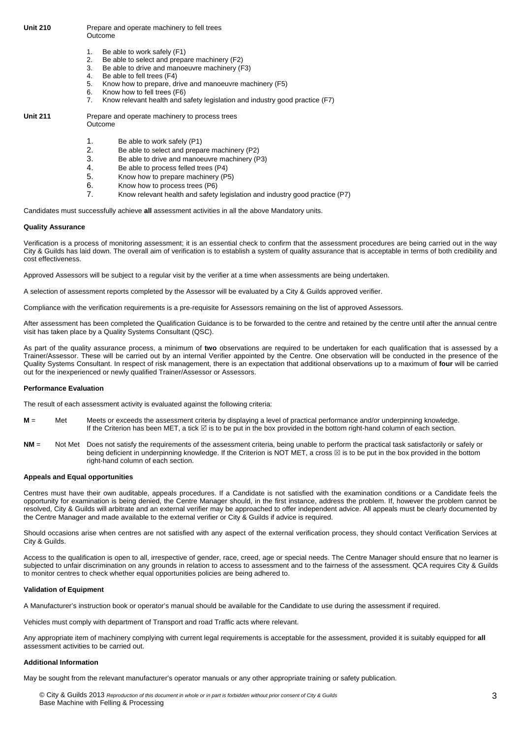#### **Unit 210** Prepare and operate machinery to fell trees Outcome

- 1. Be able to work safely (F1)
- 2. Be able to select and prepare machinery (F2)
- 3. Be able to drive and manoeuvre machinery (F3)<br>4. Be able to fell trees (F4)
- 4. Be able to fell trees (F4)<br>5. Know how to prepare, d
- 5. Know how to prepare, drive and manoeuvre machinery (F5)
- 6. Know how to fell trees (F6)<br>7 Know relevant health and s
- 7. Know relevant health and safety legislation and industry good practice (F7)

| <b>Unit 211</b> | Prepare and operate machinery to process trees<br>Outcome |
|-----------------|-----------------------------------------------------------|
|                 |                                                           |

- 1. Be able to work safely (P1)<br>2. Be able to select and prepa
	- Be able to select and prepare machinery (P2)
- 3. Be able to drive and manoeuvre machinery  $(P3)$ <br>4 Be able to process felled trees  $(P4)$
- Be able to process felled trees (P4)
- 5. Know how to prepare machinery (P5)
- 6. Know how to process trees (P6)
- 7. Know relevant health and safety legislation and industry good practice (P7)

Candidates must successfully achieve **all** assessment activities in all the above Mandatory units.

#### **Quality Assurance**

Verification is a process of monitoring assessment; it is an essential check to confirm that the assessment procedures are being carried out in the way City & Guilds has laid down. The overall aim of verification is to establish a system of quality assurance that is acceptable in terms of both credibility and cost effectiveness.

Approved Assessors will be subject to a regular visit by the verifier at a time when assessments are being undertaken.

A selection of assessment reports completed by the Assessor will be evaluated by a City & Guilds approved verifier.

Compliance with the verification requirements is a pre-requisite for Assessors remaining on the list of approved Assessors.

After assessment has been completed the Qualification Guidance is to be forwarded to the centre and retained by the centre until after the annual centre visit has taken place by a Quality Systems Consultant (QSC).

As part of the quality assurance process, a minimum of **two** observations are required to be undertaken for each qualification that is assessed by a Trainer/Assessor. These will be carried out by an internal Verifier appointed by the Centre. One observation will be conducted in the presence of the Quality Systems Consultant. In respect of risk management, there is an expectation that additional observations up to a maximum of **four** will be carried out for the inexperienced or newly qualified Trainer/Assessor or Assessors.

#### **Performance Evaluation**

The result of each assessment activity is evaluated against the following criteria:

- **M** = Met Meets or exceeds the assessment criteria by displaying a level of practical performance and/or underpinning knowledge. If the Criterion has been MET, a tick ⊠ is to be put in the box provided in the bottom right-hand column of each section.
- **NM** = Not Met Does not satisfy the requirements of the assessment criteria, being unable to perform the practical task satisfactorily or safely or being deficient in underpinning knowledge. If the Criterion is NOT MET, a cross  $\boxtimes$  is to be put in the box provided in the bottom right-hand column of each section.

#### **Appeals and Equal opportunities**

Centres must have their own auditable, appeals procedures. If a Candidate is not satisfied with the examination conditions or a Candidate feels the opportunity for examination is being denied, the Centre Manager should, in the first instance, address the problem. If, however the problem cannot be resolved, City & Guilds will arbitrate and an external verifier may be approached to offer independent advice. All appeals must be clearly documented by the Centre Manager and made available to the external verifier or City & Guilds if advice is required.

Should occasions arise when centres are not satisfied with any aspect of the external verification process, they should contact Verification Services at City & Guilds.

Access to the qualification is open to all, irrespective of gender, race, creed, age or special needs. The Centre Manager should ensure that no learner is subjected to unfair discrimination on any grounds in relation to access to assessment and to the fairness of the assessment. QCA requires City & Guilds to monitor centres to check whether equal opportunities policies are being adhered to.

#### **Validation of Equipment**

A Manufacturer's instruction book or operator's manual should be available for the Candidate to use during the assessment if required.

Vehicles must comply with department of Transport and road Traffic acts where relevant.

Any appropriate item of machinery complying with current legal requirements is acceptable for the assessment, provided it is suitably equipped for **all** assessment activities to be carried out.

#### **Additional Information**

May be sought from the relevant manufacturer's operator manuals or any other appropriate training or safety publication.

© City & Guilds 2013 *Reproduction of this document in whole or in part is forbidden without prior consent of City & Guilds*  Base Machine with Felling & Processing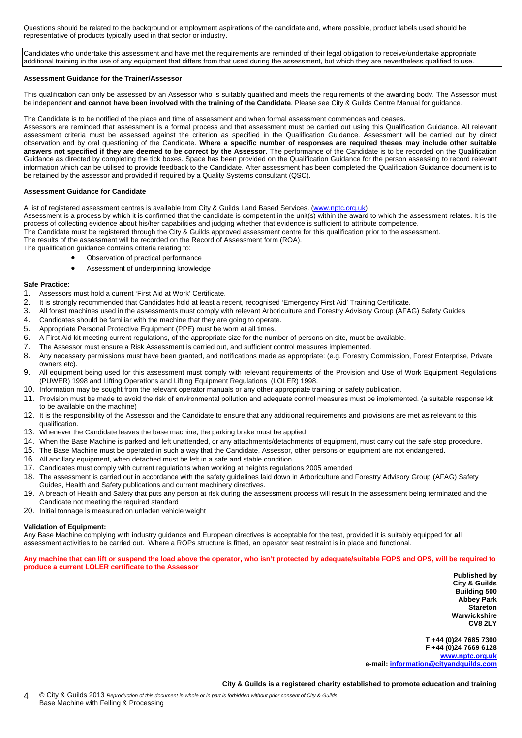Questions should be related to the background or employment aspirations of the candidate and, where possible, product labels used should be representative of products typically used in that sector or industry.

Candidates who undertake this assessment and have met the requirements are reminded of their legal obligation to receive/undertake appropriate additional training in the use of any equipment that differs from that used during the assessment, but which they are nevertheless qualified to use.

#### **Assessment Guidance for the Trainer/Assessor**

This qualification can only be assessed by an Assessor who is suitably qualified and meets the requirements of the awarding body. The Assessor must be independent **and cannot have been involved with the training of the Candidate**. Please see City & Guilds Centre Manual for guidance.

The Candidate is to be notified of the place and time of assessment and when formal assessment commences and ceases.

Assessors are reminded that assessment is a formal process and that assessment must be carried out using this Qualification Guidance. All relevant assessment criteria must be assessed against the criterion as specified in the Qualification Guidance. Assessment will be carried out by direct observation and by oral questioning of the Candidate. **Where a specific number of responses are required theses may include other suitable answers not specified if they are deemed to be correct by the Assessor**. The performance of the Candidate is to be recorded on the Qualification Guidance as directed by completing the tick boxes. Space has been provided on the Qualification Guidance for the person assessing to record relevant information which can be utilised to provide feedback to the Candidate. After assessment has been completed the Qualification Guidance document is to be retained by the assessor and provided if required by a Quality Systems consultant (QSC).

#### **Assessment Guidance for Candidate**

A list of registered assessment centres is available from City & Guilds Land Based Services. ([www.nptc.org.uk\)](http://www.nptc.org.uk/)

Assessment is a process by which it is confirmed that the candidate is competent in the unit(s) within the award to which the assessment relates. It is the process of collecting evidence about his/her capabilities and judging whether that evidence is sufficient to attribute competence.

The Candidate must be registered through the City & Guilds approved assessment centre for this qualification prior to the assessment.

The results of the assessment will be recorded on the Record of Assessment form (ROA).

- The qualification guidance contains criteria relating to: • Observation of practical performance
	-
	- Assessment of underpinning knowledge

#### **Safe Practice:**

- 1. Assessors must hold a current 'First Aid at Work' Certificate.
- 2. It is strongly recommended that Candidates hold at least a recent, recognised 'Emergency First Aid' Training Certificate.
- 3. All forest machines used in the assessments must comply with relevant Arboriculture and Forestry Advisory Group (AFAG) Safety Guides
- 4. Candidates should be familiar with the machine that they are going to operate.
- 5. Appropriate Personal Protective Equipment (PPE) must be worn at all times.
- 6. A First Aid kit meeting current regulations, of the appropriate size for the number of persons on site, must be available.
- 7. The Assessor must ensure a Risk Assessment is carried out, and sufficient control measures implemented.
- 8. Any necessary permissions must have been granted, and notifications made as appropriate: (e.g. Forestry Commission, Forest Enterprise, Private owners etc).
- 9. All equipment being used for this assessment must comply with relevant requirements of the Provision and Use of Work Equipment Regulations (PUWER) 1998 and Lifting Operations and Lifting Equipment Regulations (LOLER) 1998.
- 10. Information may be sought from the relevant operator manuals or any other appropriate training or safety publication.
- 11. Provision must be made to avoid the risk of environmental pollution and adequate control measures must be implemented. (a suitable response kit to be available on the machine)
- 12. It is the responsibility of the Assessor and the Candidate to ensure that any additional requirements and provisions are met as relevant to this qualification.
- 13. Whenever the Candidate leaves the base machine, the parking brake must be applied.
- 14. When the Base Machine is parked and left unattended, or any attachments/detachments of equipment, must carry out the safe stop procedure.
- 15. The Base Machine must be operated in such a way that the Candidate, Assessor, other persons or equipment are not endangered.
- 16. All ancillary equipment, when detached must be left in a safe and stable condition.
- 17. Candidates must comply with current regulations when working at heights regulations 2005 amended
- 18. The assessment is carried out in accordance with the safety guidelines laid down in Arboriculture and Forestry Advisory Group (AFAG) Safety Guides, Health and Safety publications and current machinery directives.
- 19. A breach of Health and Safety that puts any person at risk during the assessment process will result in the assessment being terminated and the Candidate not meeting the required standard
- 20. Initial tonnage is measured on unladen vehicle weight

#### **Validation of Equipment:**

Any Base Machine complying with industry guidance and European directives is acceptable for the test, provided it is suitably equipped for **all** assessment activities to be carried out. Where a ROPs structure is fitted, an operator seat restraint is in place and functional.

**Any machine that can lift or suspend the load above the operator, who isn't protected by adequate/suitable FOPS and OPS, will be required to produce a current LOLER certificate to the Assessor** 

**Published by City & Guilds Building 500 Abbey Park Stareton Warwickshire CV8 2LY** 

**T +44 (0)24 7685 7300 F +44 (0)24 7669 6128 [www.nptc.org.uk](http://www.nptc.org.uk/) e-mail: [information@cityandguilds.com](mailto:information@cityandguilds.com)**

#### **City & Guilds is a registered charity established to promote education and training**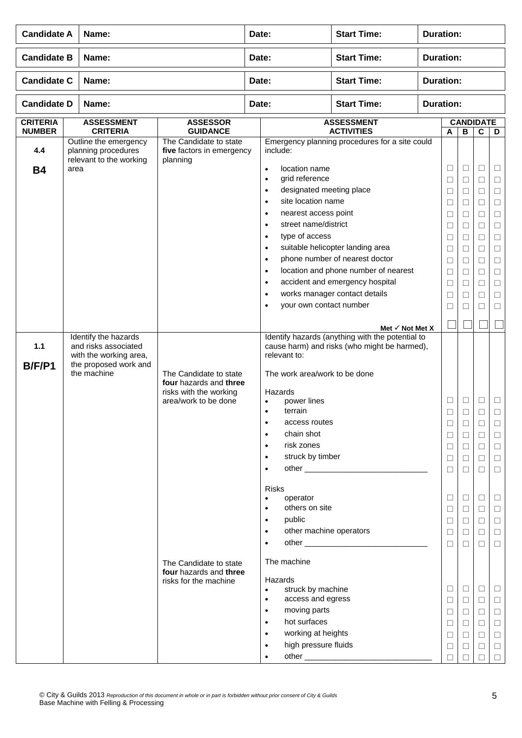| <b>Candidate A</b><br>Name:      |                                                                                                                |                                                                                                    | <b>Start Time:</b><br><b>Duration:</b><br>Date: |                                                                                                                                                                                                                                                                                                                                                                                               |                                                                                                                                                                                                                                  |                  |                                                                                                                      |                                                                                                                 |                                                                                                                           |                                                                                                                                |  |
|----------------------------------|----------------------------------------------------------------------------------------------------------------|----------------------------------------------------------------------------------------------------|-------------------------------------------------|-----------------------------------------------------------------------------------------------------------------------------------------------------------------------------------------------------------------------------------------------------------------------------------------------------------------------------------------------------------------------------------------------|----------------------------------------------------------------------------------------------------------------------------------------------------------------------------------------------------------------------------------|------------------|----------------------------------------------------------------------------------------------------------------------|-----------------------------------------------------------------------------------------------------------------|---------------------------------------------------------------------------------------------------------------------------|--------------------------------------------------------------------------------------------------------------------------------|--|
| <b>Candidate B</b>               | Name:                                                                                                          |                                                                                                    | Date:                                           |                                                                                                                                                                                                                                                                                                                                                                                               | <b>Start Time:</b>                                                                                                                                                                                                               | <b>Duration:</b> |                                                                                                                      |                                                                                                                 |                                                                                                                           |                                                                                                                                |  |
| <b>Candidate C</b>               | Name:                                                                                                          |                                                                                                    | Date:                                           |                                                                                                                                                                                                                                                                                                                                                                                               | <b>Start Time:</b>                                                                                                                                                                                                               | <b>Duration:</b> |                                                                                                                      |                                                                                                                 |                                                                                                                           |                                                                                                                                |  |
|                                  | <b>Candidate D</b><br>Name:                                                                                    |                                                                                                    |                                                 | Date:                                                                                                                                                                                                                                                                                                                                                                                         | <b>Start Time:</b>                                                                                                                                                                                                               | <b>Duration:</b> |                                                                                                                      |                                                                                                                 |                                                                                                                           |                                                                                                                                |  |
| <b>CRITERIA</b><br><b>NUMBER</b> | <b>ASSESSMENT</b><br><b>CRITERIA</b>                                                                           | <b>ASSESSOR</b><br><b>GUIDANCE</b>                                                                 |                                                 |                                                                                                                                                                                                                                                                                                                                                                                               | <b>ASSESSMENT</b><br><b>ACTIVITIES</b>                                                                                                                                                                                           |                  | <b>CANDIDATE</b><br>$\overline{c}$<br>$\, {\bf B}$<br>A                                                              |                                                                                                                 |                                                                                                                           | D                                                                                                                              |  |
| 4.4<br><b>B4</b>                 | Outline the emergency<br>planning procedures<br>relevant to the working<br>area                                | The Candidate to state<br>five factors in emergency<br>planning                                    |                                                 | include:<br>location name<br>$\bullet$<br>grid reference<br>$\bullet$<br>designated meeting place<br>$\bullet$<br>site location name<br>$\bullet$<br>nearest access point<br>$\bullet$<br>street name/district<br>$\bullet$<br>type of access<br>$\bullet$<br>$\bullet$<br>$\bullet$<br>$\bullet$<br>$\bullet$<br>$\bullet$<br>your own contact number<br>$\bullet$                           | Emergency planning procedures for a site could<br>suitable helicopter landing area<br>phone number of nearest doctor<br>location and phone number of nearest<br>accident and emergency hospital<br>works manager contact details |                  | $\Box$<br>$\Box$<br>$\Box$<br>□<br>□<br>$\Box$<br>$\Box$<br>$\Box$<br>$\Box$<br>$\Box$<br>$\Box$<br>$\Box$<br>$\Box$ | $\Box$<br>$\Box$<br>$\Box$<br>□<br>□<br>$\Box$<br>$\Box$<br>$\Box$<br>$\Box$<br>$\Box$<br>$\Box$<br>□<br>$\Box$ | $\Box$<br>$\Box$<br>$\Box$<br>$\Box$<br>$\Box$<br>$\Box$<br>$\Box$<br>$\Box$<br>□<br>$\Box$<br>$\Box$<br>$\Box$<br>$\Box$ | $\Box$<br>$\Box$<br>$\Box$<br>$\Box$<br>$\Box$<br>$\Box$<br>$\Box$<br>$\Box$<br>$\Box$<br>$\Box$<br>$\Box$<br>$\Box$<br>$\Box$ |  |
|                                  |                                                                                                                |                                                                                                    |                                                 |                                                                                                                                                                                                                                                                                                                                                                                               | Met $\checkmark$ Not Met X                                                                                                                                                                                                       |                  |                                                                                                                      |                                                                                                                 |                                                                                                                           |                                                                                                                                |  |
| 1.1<br>B/F/P1                    | Identify the hazards<br>and risks associated<br>with the working area,<br>the proposed work and<br>the machine | The Candidate to state<br>four hazards and three<br>risks with the working<br>area/work to be done |                                                 | relevant to:<br>The work area/work to be done<br>Hazards<br>power lines<br>$\bullet$<br>terrain<br>$\bullet$<br>access routes<br>$\bullet$<br>chain shot<br>$\bullet$<br>risk zones<br>$\bullet$<br>struck by timber<br>$\bullet$<br>$\bullet$                                                                                                                                                | Identify hazards (anything with the potential to<br>cause harm) and risks (who might be harmed),                                                                                                                                 |                  | Ц<br>$\Box$<br>⊔<br>□<br>$\Box$<br>$\Box$<br>$\Box$                                                                  | ⊔<br>$\Box$<br>$\Box$<br>$\Box$<br>$\Box$<br>$\Box$<br>$\Box$                                                   | $\Box$<br>□<br>$\Box$<br>$\Box$<br>$\Box$<br>$\Box$<br>$\Box$                                                             | $\Box$<br>□<br>$\Box$<br>$\Box$<br>$\Box$<br>$\Box$<br>$\Box$                                                                  |  |
|                                  |                                                                                                                | The Candidate to state<br>four hazards and three<br>risks for the machine                          |                                                 | <b>Risks</b><br>operator<br>$\bullet$<br>others on site<br>$\bullet$<br>public<br>$\bullet$<br>other machine operators<br>$\bullet$<br>$\bullet$<br>The machine<br>Hazards<br>struck by machine<br>$\bullet$<br>access and egress<br>$\bullet$<br>moving parts<br>$\bullet$<br>hot surfaces<br>$\bullet$<br>working at heights<br>$\bullet$<br>high pressure fluids<br>$\bullet$<br>$\bullet$ |                                                                                                                                                                                                                                  |                  | $\Box$<br>$\Box$<br>$\Box$<br>$\Box$<br>$\Box$<br>$\Box$<br>□<br>$\Box$<br>□<br>$\Box$<br>$\Box$<br>П                | $\Box$<br>$\Box$<br>$\Box$<br>$\Box$<br>$\Box$<br>$\Box$<br>$\Box$<br>$\Box$<br>$\Box$<br>$\Box$<br>$\Box$      | $\Box$<br>$\Box$<br>$\Box$<br>$\Box$<br>$\Box$<br>$\Box$<br>$\Box$<br>$\Box$<br>$\Box$<br>$\Box$<br>$\Box$<br>□           | $\Box$<br>$\Box$<br>$\Box$<br>$\Box$<br>$\Box$<br>$\Box$<br>$\Box$<br>$\Box$<br>$\Box$<br>$\Box$<br>$\Box$<br>$\Box$           |  |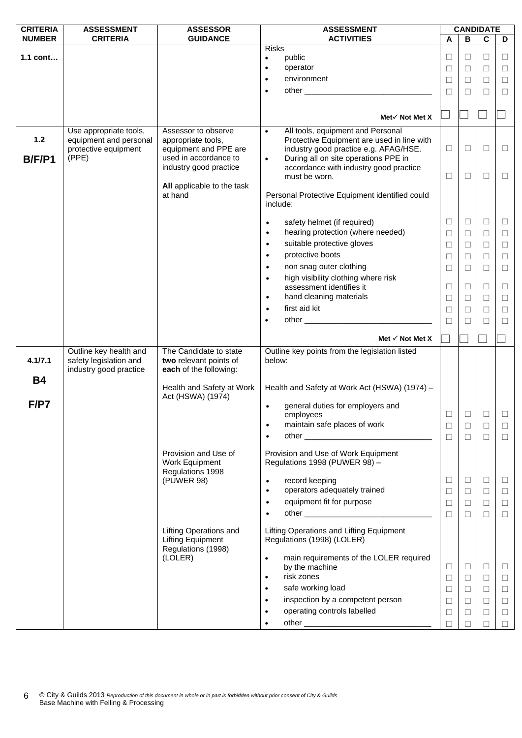| <b>CRITERIA</b>        | <b>ASSESSMENT</b>                                                                 | <b>ASSESSOR</b>                                                                             | <b>ASSESSMENT</b>                                                                                                                                                                                                                          | <b>CANDIDATE</b> |        |        |        |  |
|------------------------|-----------------------------------------------------------------------------------|---------------------------------------------------------------------------------------------|--------------------------------------------------------------------------------------------------------------------------------------------------------------------------------------------------------------------------------------------|------------------|--------|--------|--------|--|
| <b>NUMBER</b>          | <b>CRITERIA</b>                                                                   | <b>GUIDANCE</b>                                                                             | <b>ACTIVITIES</b>                                                                                                                                                                                                                          | A                | в      | C      | D      |  |
|                        |                                                                                   |                                                                                             | <b>Risks</b>                                                                                                                                                                                                                               |                  |        |        |        |  |
| 1.1 cont               |                                                                                   |                                                                                             | public<br>$\bullet$                                                                                                                                                                                                                        | □                | □      | □      | $\Box$ |  |
|                        |                                                                                   |                                                                                             | operator<br>$\bullet$                                                                                                                                                                                                                      | $\Box$           | □      | □      | □      |  |
|                        |                                                                                   |                                                                                             | environment                                                                                                                                                                                                                                | $\Box$           | $\Box$ | $\Box$ | $\Box$ |  |
|                        |                                                                                   |                                                                                             | other and the contract of the contract of the contract of the contract of the contract of the contract of the contract of the contract of the contract of the contract of the contract of the contract of the contract of the<br>$\bullet$ | П                | П      | П      | $\Box$ |  |
|                        |                                                                                   |                                                                                             |                                                                                                                                                                                                                                            |                  |        |        |        |  |
|                        |                                                                                   |                                                                                             | Met√ Not Met X                                                                                                                                                                                                                             |                  |        |        |        |  |
| $1.2$<br><b>B/F/P1</b> | Use appropriate tools,<br>equipment and personal<br>protective equipment<br>(PPE) | Assessor to observe<br>appropriate tools,<br>equipment and PPE are<br>used in accordance to | All tools, equipment and Personal<br>$\bullet$<br>Protective Equipment are used in line with<br>industry good practice e.g. AFAG/HSE.<br>During all on site operations PPE in<br>$\bullet$                                                 | □                | $\Box$ | $\Box$ | $\Box$ |  |
|                        |                                                                                   | industry good practice                                                                      | accordance with industry good practice<br>must be worn.                                                                                                                                                                                    | ⊔                | □      | $\Box$ | $\Box$ |  |
|                        |                                                                                   | All applicable to the task<br>at hand                                                       | Personal Protective Equipment identified could<br>include:                                                                                                                                                                                 |                  |        |        |        |  |
|                        |                                                                                   |                                                                                             | safety helmet (if required)<br>$\bullet$                                                                                                                                                                                                   | □                | $\Box$ | $\Box$ | $\Box$ |  |
|                        |                                                                                   |                                                                                             | hearing protection (where needed)<br>$\bullet$                                                                                                                                                                                             | □                | $\Box$ | $\Box$ | $\Box$ |  |
|                        |                                                                                   |                                                                                             | suitable protective gloves<br>$\bullet$                                                                                                                                                                                                    | □                | $\Box$ | □      | $\Box$ |  |
|                        |                                                                                   |                                                                                             | protective boots<br>$\bullet$                                                                                                                                                                                                              | $\Box$           | $\Box$ | $\Box$ | $\Box$ |  |
|                        |                                                                                   |                                                                                             | non snag outer clothing<br>$\bullet$                                                                                                                                                                                                       |                  |        |        |        |  |
|                        |                                                                                   |                                                                                             |                                                                                                                                                                                                                                            | П                | П      | П      | $\Box$ |  |
|                        |                                                                                   |                                                                                             | high visibility clothing where risk<br>$\bullet$<br>assessment identifies it                                                                                                                                                               | ⊔                | □      | $\Box$ | □      |  |
|                        |                                                                                   |                                                                                             | hand cleaning materials<br>$\bullet$                                                                                                                                                                                                       |                  |        |        |        |  |
|                        |                                                                                   |                                                                                             | first aid kit                                                                                                                                                                                                                              | □                | □      | $\Box$ | $\Box$ |  |
|                        |                                                                                   |                                                                                             | $\bullet$                                                                                                                                                                                                                                  | П                | П      | П      | $\Box$ |  |
|                        |                                                                                   |                                                                                             | $\bullet$                                                                                                                                                                                                                                  | П                | П      | П      | □      |  |
|                        |                                                                                   |                                                                                             | Met $\checkmark$ Not Met X                                                                                                                                                                                                                 |                  |        |        |        |  |
| 4.1/7.1                | Outline key health and<br>safety legislation and<br>industry good practice        | The Candidate to state<br>two relevant points of<br>each of the following:                  | Outline key points from the legislation listed<br>below:                                                                                                                                                                                   |                  |        |        |        |  |
| <b>B4</b>              |                                                                                   |                                                                                             |                                                                                                                                                                                                                                            |                  |        |        |        |  |
|                        |                                                                                   | Health and Safety at Work<br>Act (HSWA) (1974)                                              | Health and Safety at Work Act (HSWA) (1974) -                                                                                                                                                                                              |                  |        |        |        |  |
| F/PT                   |                                                                                   |                                                                                             | general duties for employers and                                                                                                                                                                                                           |                  |        |        |        |  |
|                        |                                                                                   |                                                                                             | employees                                                                                                                                                                                                                                  | □                | $\Box$ | $\Box$ | □      |  |
|                        |                                                                                   |                                                                                             | maintain safe places of work<br>$\bullet$                                                                                                                                                                                                  | ⊔                |        | □      | ⊔      |  |
|                        |                                                                                   |                                                                                             | ٠                                                                                                                                                                                                                                          | $\Box$           | $\Box$ | $\Box$ | $\Box$ |  |
|                        |                                                                                   | Provision and Use of<br>Work Equipment<br>Regulations 1998                                  | Provision and Use of Work Equipment<br>Regulations 1998 (PUWER 98) -                                                                                                                                                                       |                  |        |        |        |  |
|                        |                                                                                   | (PUWER 98)                                                                                  | record keeping                                                                                                                                                                                                                             | ⊔                | ⊔      | $\Box$ | $\Box$ |  |
|                        |                                                                                   |                                                                                             | operators adequately trained<br>$\bullet$                                                                                                                                                                                                  | ⊔                | $\Box$ | $\Box$ | $\Box$ |  |
|                        |                                                                                   |                                                                                             | equipment fit for purpose<br>$\bullet$                                                                                                                                                                                                     | □                | $\Box$ | $\Box$ | $\Box$ |  |
|                        |                                                                                   |                                                                                             | $\bullet$                                                                                                                                                                                                                                  | $\Box$           | $\Box$ | $\Box$ | $\Box$ |  |
|                        |                                                                                   | Lifting Operations and<br><b>Lifting Equipment</b><br>Regulations (1998)                    | Lifting Operations and Lifting Equipment<br>Regulations (1998) (LOLER)                                                                                                                                                                     |                  |        |        |        |  |
|                        |                                                                                   | (LOLER)                                                                                     | main requirements of the LOLER required<br>$\bullet$<br>by the machine                                                                                                                                                                     | □                | $\Box$ | $\Box$ | $\Box$ |  |
|                        |                                                                                   |                                                                                             | risk zones<br>$\bullet$                                                                                                                                                                                                                    | □                | $\Box$ | $\Box$ | $\Box$ |  |
|                        |                                                                                   |                                                                                             | safe working load<br>$\bullet$                                                                                                                                                                                                             | $\Box$           | $\Box$ | $\Box$ | $\Box$ |  |
|                        |                                                                                   |                                                                                             | inspection by a competent person<br>$\bullet$                                                                                                                                                                                              | □                | $\Box$ | $\Box$ | $\Box$ |  |
|                        |                                                                                   |                                                                                             | operating controls labelled                                                                                                                                                                                                                | ⊔                | $\Box$ | $\Box$ | $\Box$ |  |
|                        |                                                                                   |                                                                                             |                                                                                                                                                                                                                                            | п                | $\Box$ | $\Box$ | $\Box$ |  |
|                        |                                                                                   |                                                                                             |                                                                                                                                                                                                                                            |                  |        |        |        |  |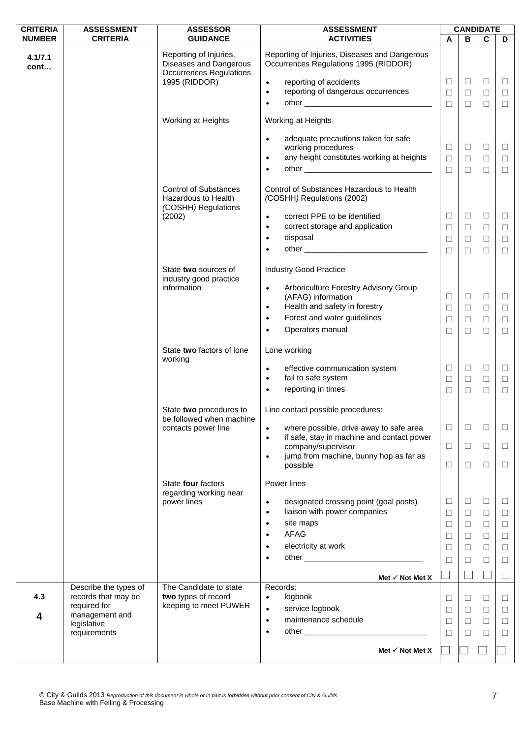| <b>CRITERIA</b> | <b>ASSESSMENT</b>                                            | <b>ASSESSOR</b>                                                                                     | <b>ASSESSMENT</b>                                                                                                                                                                             | <b>CANDIDATE</b>           |                                      |                                      |                                 |
|-----------------|--------------------------------------------------------------|-----------------------------------------------------------------------------------------------------|-----------------------------------------------------------------------------------------------------------------------------------------------------------------------------------------------|----------------------------|--------------------------------------|--------------------------------------|---------------------------------|
| <b>NUMBER</b>   | <b>CRITERIA</b>                                              | <b>GUIDANCE</b>                                                                                     | <b>ACTIVITIES</b>                                                                                                                                                                             | A                          | В                                    | $\overline{c}$                       | D                               |
| 4.1/7.1<br>cont |                                                              | Reporting of Injuries,<br>Diseases and Dangerous<br><b>Occurrences Regulations</b><br>1995 (RIDDOR) | Reporting of Injuries, Diseases and Dangerous<br>Occurrences Regulations 1995 (RIDDOR)<br>reporting of accidents<br>$\bullet$<br>reporting of dangerous occurrences<br>$\bullet$<br>$\bullet$ | ⊔<br>$\Box$<br>$\Box$      | $\sqcup$<br>$\Box$<br>$\Box$         | $\Box$<br>$\Box$<br>$\Box$           | $\Box$<br>$\Box$<br>$\Box$      |
|                 |                                                              |                                                                                                     |                                                                                                                                                                                               |                            |                                      |                                      |                                 |
|                 |                                                              | Working at Heights                                                                                  | Working at Heights<br>adequate precautions taken for safe<br>$\bullet$<br>working procedures<br>any height constitutes working at heights<br>$\bullet$<br>$\bullet$                           | □<br>$\Box$<br>$\Box$      | $\Box$<br>$\Box$<br>$\Box$           | $\Box$<br>$\Box$<br>$\Box$           | $\Box$<br>$\Box$<br>$\Box$      |
|                 |                                                              | <b>Control of Substances</b><br>Hazardous to Health<br>(COSHH) Regulations                          | Control of Substances Hazardous to Health<br>(COSHH) Regulations (2002)                                                                                                                       |                            |                                      |                                      |                                 |
|                 |                                                              | (2002)                                                                                              | correct PPE to be identified<br>$\bullet$<br>correct storage and application<br>$\bullet$<br>disposal<br>$\bullet$<br>$\bullet$                                                               | □<br>$\Box$<br>□<br>$\Box$ | $\Box$<br>$\Box$<br>$\Box$<br>$\Box$ | $\Box$<br>$\Box$<br>$\Box$<br>$\Box$ | $\Box$<br>$\Box$<br>⊔<br>$\Box$ |
|                 |                                                              | State two sources of<br>industry good practice<br>information                                       | <b>Industry Good Practice</b><br>Arboriculture Forestry Advisory Group<br>$\bullet$                                                                                                           |                            |                                      |                                      |                                 |
|                 |                                                              |                                                                                                     | (AFAG) information<br>Health and safety in forestry<br>$\bullet$                                                                                                                              | □                          | $\Box$                               | $\Box$                               | $\Box$                          |
|                 |                                                              |                                                                                                     | Forest and water guidelines<br>$\bullet$                                                                                                                                                      | $\Box$<br>$\Box$           | $\Box$<br>$\Box$                     | $\Box$<br>$\Box$                     | $\Box$<br>$\Box$                |
|                 |                                                              |                                                                                                     | Operators manual<br>$\bullet$                                                                                                                                                                 | □                          | ⊔                                    | $\Box$                               | $\Box$                          |
|                 |                                                              | State two factors of lone<br>working                                                                | Lone working                                                                                                                                                                                  |                            |                                      |                                      |                                 |
|                 |                                                              |                                                                                                     | effective communication system<br>$\bullet$<br>fail to safe system<br>$\bullet$                                                                                                               | Ш<br>$\Box$                | Ц<br>$\Box$                          | $\Box$<br>$\Box$                     | $\Box$<br>$\Box$                |
|                 |                                                              |                                                                                                     | reporting in times<br>$\bullet$                                                                                                                                                               | □                          | □                                    | $\Box$                               | $\Box$                          |
|                 |                                                              | State two procedures to<br>be followed when machine                                                 | Line contact possible procedures:                                                                                                                                                             |                            |                                      |                                      |                                 |
|                 |                                                              | contacts power line                                                                                 | where possible, drive away to safe area<br>$\bullet$<br>if safe, stay in machine and contact power<br>$\bullet$                                                                               | □                          | $\Box$                               | П                                    | П                               |
|                 |                                                              |                                                                                                     | company/supervisor                                                                                                                                                                            | □                          | $\Box$                               | $\Box$                               | $\Box$                          |
|                 |                                                              |                                                                                                     | jump from machine, bunny hop as far as<br>$\bullet$<br>possible                                                                                                                               | □                          | ⊔                                    | $\Box$                               | $\Box$                          |
|                 |                                                              | State four factors<br>regarding working near                                                        | Power lines                                                                                                                                                                                   |                            |                                      |                                      |                                 |
|                 |                                                              | power lines                                                                                         | designated crossing point (goal posts)<br>$\bullet$                                                                                                                                           | ⊔                          | $\Box$                               | $\Box$                               | ⊔                               |
|                 |                                                              |                                                                                                     | liaison with power companies<br>$\bullet$<br>site maps<br>$\bullet$                                                                                                                           | □<br>□                     | $\Box$<br>$\Box$                     | $\Box$<br>$\Box$                     | $\Box$<br>$\Box$                |
|                 |                                                              |                                                                                                     | <b>AFAG</b><br>$\bullet$                                                                                                                                                                      | ⊔                          | $\Box$                               | $\Box$                               | □                               |
|                 |                                                              |                                                                                                     | electricity at work                                                                                                                                                                           | □                          | $\Box$                               | $\Box$                               | $\Box$                          |
|                 |                                                              |                                                                                                     | ٠                                                                                                                                                                                             | П                          | □                                    | $\Box$                               | □                               |
|                 |                                                              |                                                                                                     | Met $\checkmark$ Not Met X                                                                                                                                                                    |                            |                                      |                                      |                                 |
| 4.3             | Describe the types of<br>records that may be<br>required for | The Candidate to state<br>two types of record<br>keeping to meet PUWER                              | Records:<br>logbook<br>$\bullet$<br>service logbook<br>$\bullet$                                                                                                                              | ⊔<br>⊔                     | $\Box$<br>$\Box$                     | □<br>$\Box$                          | ⊔<br>⊔                          |
| 4               | management and<br>legislative                                |                                                                                                     | maintenance schedule<br>$\bullet$                                                                                                                                                             | $\Box$                     | $\Box$                               | $\Box$                               | $\Box$                          |
|                 | requirements                                                 |                                                                                                     | ٠                                                                                                                                                                                             | $\mathbf{L}$               | Ш                                    | $\Box$                               | □                               |
|                 |                                                              |                                                                                                     | Met $\checkmark$ Not Met X                                                                                                                                                                    |                            |                                      |                                      |                                 |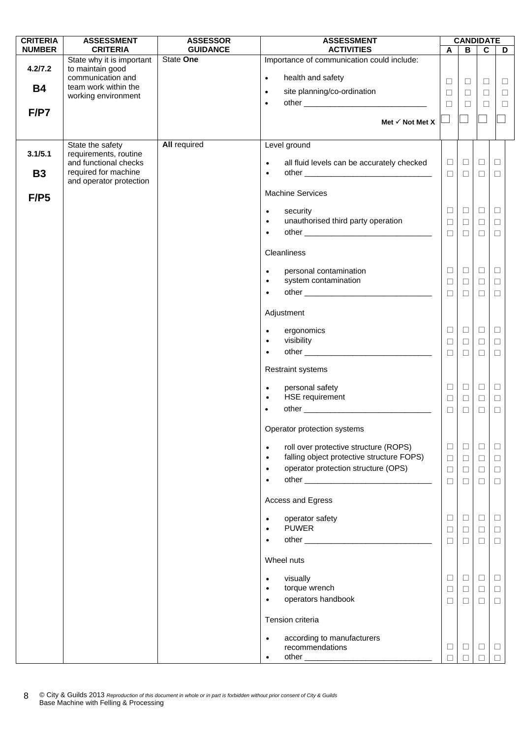| <b>CRITERIA</b> | <b>ASSESSMENT</b>                             | <b>ASSESSOR</b>     | <b>ASSESSMENT</b>                                                        | <b>CANDIDATE</b> |                  |                  |                  |
|-----------------|-----------------------------------------------|---------------------|--------------------------------------------------------------------------|------------------|------------------|------------------|------------------|
| <b>NUMBER</b>   | <b>CRITERIA</b>                               | <b>GUIDANCE</b>     | <b>ACTIVITIES</b>                                                        | $\mathbf{A}$     | В                | $\mathbf c$      | D                |
| 4.2/7.2         | State why it is important<br>to maintain good | State One           | Importance of communication could include:                               |                  |                  |                  |                  |
| <b>B4</b>       | communication and<br>team work within the     |                     | health and safety<br>$\bullet$                                           | □                | $\Box$           | $\Box$           | ⊔                |
|                 | working environment                           |                     | site planning/co-ordination<br>$\bullet$                                 | $\Box$           | $\Box$           | $\Box$           | $\Box$           |
| F/P7            |                                               |                     | $\bullet$                                                                | $\Box$           | $\Box$           | $\Box$           | $\Box$           |
|                 |                                               |                     | Met $\checkmark$ Not Met X                                               |                  |                  |                  |                  |
|                 |                                               |                     |                                                                          |                  |                  |                  |                  |
|                 | State the safety                              | <b>All required</b> | Level ground                                                             |                  |                  |                  |                  |
| 3.1/5.1         | requirements, routine                         |                     |                                                                          |                  |                  |                  |                  |
| <b>B3</b>       | and functional checks<br>required for machine |                     | all fluid levels can be accurately checked<br>$\bullet$<br>$\bullet$     | $\Box$<br>$\Box$ | $\Box$<br>$\Box$ | $\Box$<br>$\Box$ | $\Box$<br>$\Box$ |
|                 | and operator protection                       |                     |                                                                          |                  |                  |                  |                  |
| F/P5            |                                               |                     | <b>Machine Services</b>                                                  |                  |                  |                  |                  |
|                 |                                               |                     | security<br>$\bullet$                                                    | □                | $\Box$           | $\Box$           | $\Box$           |
|                 |                                               |                     | unauthorised third party operation<br>$\bullet$                          | $\Box$           | $\Box$           | $\Box$           | $\Box$           |
|                 |                                               |                     | $\bullet$                                                                | $\Box$           | $\Box$           | $\Box$           | $\Box$           |
|                 |                                               |                     | Cleanliness                                                              |                  |                  |                  |                  |
|                 |                                               |                     |                                                                          |                  | $\Box$           |                  |                  |
|                 |                                               |                     | personal contamination<br>$\bullet$<br>system contamination<br>$\bullet$ | □<br>$\Box$      | $\Box$           | $\Box$<br>$\Box$ | $\Box$<br>$\Box$ |
|                 |                                               |                     | $\bullet$                                                                | $\Box$           | $\Box$           | $\Box$           | $\Box$           |
|                 |                                               |                     |                                                                          |                  |                  |                  |                  |
|                 |                                               |                     | Adjustment                                                               |                  |                  |                  |                  |
|                 |                                               |                     | ergonomics<br>$\bullet$                                                  | ⊔                | $\Box$           | $\Box$           | $\Box$           |
|                 |                                               |                     | visibility<br>$\bullet$                                                  | П                | $\Box$           | □                | $\Box$           |
|                 |                                               |                     | $\bullet$                                                                | $\Box$           | $\Box$           | $\Box$           | $\Box$           |
|                 |                                               |                     | <b>Restraint systems</b>                                                 |                  |                  |                  |                  |
|                 |                                               |                     | personal safety<br>$\bullet$                                             | $\Box$           | $\Box$           | $\Box$           | $\Box$           |
|                 |                                               |                     | HSE requirement<br>$\bullet$                                             | $\Box$           | $\Box$           | $\Box$           | $\Box$           |
|                 |                                               |                     | $\bullet$                                                                | $\Box$           | $\Box$           | □                | $\Box$           |
|                 |                                               |                     | Operator protection systems                                              |                  |                  |                  |                  |
|                 |                                               |                     | roll over protective structure (ROPS)<br>$\bullet$                       | $\Box$           | $\Box$           | ⊔                | ⊔                |
|                 |                                               |                     | falling object protective structure FOPS)<br>$\bullet$                   | $\Box$           | $\Box$           | $\Box$           | $\Box$           |
|                 |                                               |                     | operator protection structure (OPS)<br>$\bullet$                         | $\Box$           | $\Box$           | $\Box$           | $\Box$           |
|                 |                                               |                     | $\bullet$                                                                | $\Box$           | $\Box$           | □                | □                |
|                 |                                               |                     | Access and Egress                                                        |                  |                  |                  |                  |
|                 |                                               |                     | operator safety<br>$\bullet$                                             | ப                | □                | Ц                | $\Box$           |
|                 |                                               |                     | <b>PUWER</b><br>$\bullet$                                                | □                | $\Box$           | $\Box$           | $\Box$           |
|                 |                                               |                     | $\bullet$                                                                | П                | $\Box$           | $\Box$           | $\Box$           |
|                 |                                               |                     | Wheel nuts                                                               |                  |                  |                  |                  |
|                 |                                               |                     |                                                                          |                  |                  |                  |                  |
|                 |                                               |                     | visually<br>$\bullet$<br>torque wrench<br>$\bullet$                      | $\perp$<br>□     | $\Box$<br>$\Box$ | $\Box$           | $\Box$<br>$\Box$ |
|                 |                                               |                     | operators handbook<br>$\bullet$                                          | □                | $\Box$           | $\Box$<br>$\Box$ | $\Box$           |
|                 |                                               |                     | Tension criteria                                                         |                  |                  |                  |                  |
|                 |                                               |                     |                                                                          |                  |                  |                  |                  |
|                 |                                               |                     | according to manufacturers<br>recommendations                            | ⊔                | $\Box$           |                  |                  |
|                 |                                               |                     |                                                                          |                  |                  | ⊔                | Ц<br>П           |
|                 |                                               |                     |                                                                          |                  |                  |                  |                  |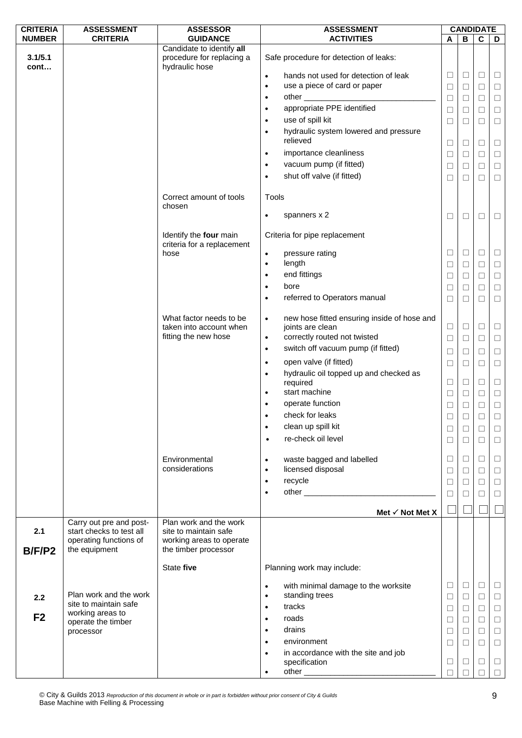| <b>CRITERIA</b> | <b>ASSESSMENT</b>                                                                              | <b>ASSESSOR</b>                                                                                     | <b>ASSESSMENT</b>                                                               |             | <b>CANDIDATE</b> |             |                  |
|-----------------|------------------------------------------------------------------------------------------------|-----------------------------------------------------------------------------------------------------|---------------------------------------------------------------------------------|-------------|------------------|-------------|------------------|
| <b>NUMBER</b>   | <b>CRITERIA</b>                                                                                | <b>GUIDANCE</b>                                                                                     | <b>ACTIVITIES</b>                                                               | A           | в                | C           | D                |
| 3.1/5.1         |                                                                                                | Candidate to identify all<br>procedure for replacing a                                              | Safe procedure for detection of leaks:                                          |             |                  |             |                  |
| cont            |                                                                                                | hydraulic hose                                                                                      | hands not used for detection of leak<br>$\bullet$                               | ⊔           | ⊔                | $\Box$      | $\Box$           |
|                 |                                                                                                |                                                                                                     | use a piece of card or paper<br>$\bullet$                                       | $\Box$      | $\Box$           | $\Box$      | $\Box$           |
|                 |                                                                                                |                                                                                                     | $\bullet$                                                                       | $\Box$      | $\Box$           | $\Box$      | $\Box$           |
|                 |                                                                                                |                                                                                                     | appropriate PPE identified<br>$\bullet$                                         | $\Box$      | ⊔                | □           | $\Box$           |
|                 |                                                                                                |                                                                                                     | use of spill kit<br>$\bullet$                                                   | $\Box$      | $\Box$           | $\Box$      | $\Box$           |
|                 |                                                                                                |                                                                                                     | hydraulic system lowered and pressure<br>$\bullet$                              |             |                  |             |                  |
|                 |                                                                                                |                                                                                                     | relieved                                                                        | □           | ⊔                | $\Box$      | $\Box$           |
|                 |                                                                                                |                                                                                                     | importance cleanliness<br>$\bullet$                                             | $\Box$      | ⊔                | □           | $\Box$           |
|                 |                                                                                                |                                                                                                     | vacuum pump (if fitted)<br>$\bullet$                                            | $\Box$      | □                | $\Box$      | $\Box$           |
|                 |                                                                                                |                                                                                                     | shut off valve (if fitted)<br>$\bullet$                                         | $\Box$      | ⊔                | $\Box$      | $\Box$           |
|                 |                                                                                                | Correct amount of tools<br>chosen                                                                   | Tools                                                                           |             |                  |             |                  |
|                 |                                                                                                |                                                                                                     | spanners x 2<br>$\bullet$                                                       | □           | □                | $\Box$      | $\Box$           |
|                 |                                                                                                | Identify the four main                                                                              | Criteria for pipe replacement                                                   |             |                  |             |                  |
|                 |                                                                                                | criteria for a replacement<br>hose                                                                  |                                                                                 | □           | Ц                | $\Box$      | $\Box$           |
|                 |                                                                                                |                                                                                                     | pressure rating<br>$\bullet$<br>length<br>$\bullet$                             |             |                  | $\Box$      |                  |
|                 |                                                                                                |                                                                                                     | end fittings<br>$\bullet$                                                       | $\Box$      | ⊔                | $\Box$      | $\Box$           |
|                 |                                                                                                |                                                                                                     | bore<br>$\bullet$                                                               | $\Box$      | □                | $\Box$      | $\Box$           |
|                 |                                                                                                |                                                                                                     | referred to Operators manual<br>$\bullet$                                       | $\Box$      | □                |             | $\Box$           |
|                 |                                                                                                | What factor needs to be                                                                             |                                                                                 | $\Box$      | ⊔                | □           | $\Box$           |
|                 |                                                                                                | taken into account when                                                                             | new hose fitted ensuring inside of hose and<br>$\bullet$<br>joints are clean    | $\Box$      | Ц                | □           | $\Box$           |
|                 |                                                                                                | fitting the new hose                                                                                | correctly routed not twisted<br>$\bullet$                                       | $\Box$      | ⊔                | $\Box$      | $\Box$           |
|                 |                                                                                                |                                                                                                     | switch off vacuum pump (if fitted)<br>$\bullet$                                 |             |                  |             |                  |
|                 |                                                                                                |                                                                                                     | open valve (if fitted)<br>$\bullet$                                             | $\Box$      | $\Box$           | $\Box$      | $\Box$           |
|                 |                                                                                                |                                                                                                     | hydraulic oil topped up and checked as<br>$\bullet$                             | $\Box$      | $\Box$           | $\Box$      | $\Box$           |
|                 |                                                                                                |                                                                                                     | required                                                                        | $\Box$      | Ц                | $\Box$      | $\Box$           |
|                 |                                                                                                |                                                                                                     | start machine<br>$\bullet$                                                      | $\Box$      | □                | $\Box$      | $\Box$           |
|                 |                                                                                                |                                                                                                     | operate function<br>$\bullet$                                                   | $\Box$      | $\Box$           | $\Box$      | $\Box$           |
|                 |                                                                                                |                                                                                                     | check for leaks                                                                 | $\Box$      | $\Box$           | $\Box$      | $\Box$           |
|                 |                                                                                                |                                                                                                     | clean up spill kit<br>$\bullet$                                                 | $\Box$      | $\Box$           | $\Box$      | $\Box$           |
|                 |                                                                                                |                                                                                                     | re-check oil level<br>$\bullet$                                                 | $\Box$      | ⊔                | П           | $\Box$           |
|                 |                                                                                                | Environmental                                                                                       | waste bagged and labelled<br>$\bullet$                                          | $\Box$      | ⊔                | $\Box$      | $\Box$           |
|                 |                                                                                                | considerations                                                                                      | licensed disposal<br>$\bullet$                                                  | $\Box$      | □                | $\Box$      | $\Box$           |
|                 |                                                                                                |                                                                                                     | recycle<br>$\bullet$                                                            | $\Box$      | □                | $\Box$      | $\Box$           |
|                 |                                                                                                |                                                                                                     | $\bullet$                                                                       | П           |                  | $\Box$      | $\Box$           |
|                 |                                                                                                |                                                                                                     |                                                                                 |             |                  |             |                  |
|                 |                                                                                                |                                                                                                     | Met $\checkmark$ Not Met X                                                      |             |                  |             |                  |
| 2.1             | Carry out pre and post-<br>start checks to test all<br>operating functions of<br>the equipment | Plan work and the work<br>site to maintain safe<br>working areas to operate<br>the timber processor |                                                                                 |             |                  |             |                  |
| B/F/P2          |                                                                                                | State five                                                                                          | Planning work may include:                                                      |             |                  |             |                  |
|                 |                                                                                                |                                                                                                     |                                                                                 |             |                  |             |                  |
| 2.2             | Plan work and the work                                                                         |                                                                                                     | with minimal damage to the worksite<br>$\bullet$<br>standing trees<br>$\bullet$ | ⊔<br>$\Box$ | ⊔<br>□           | □<br>$\Box$ | $\Box$<br>$\Box$ |
|                 | site to maintain safe                                                                          |                                                                                                     | tracks<br>$\bullet$                                                             | $\Box$      | □                | $\Box$      | $\Box$           |
| F <sub>2</sub>  | working areas to<br>operate the timber                                                         |                                                                                                     | roads<br>$\bullet$                                                              | $\Box$      | ⊔                | $\Box$      | $\Box$           |
|                 | processor                                                                                      |                                                                                                     | drains<br>$\bullet$                                                             | $\Box$      | □                | $\Box$      | $\Box$           |
|                 |                                                                                                |                                                                                                     | environment<br>$\bullet$                                                        | □           | П                | $\Box$      | $\Box$           |
|                 |                                                                                                |                                                                                                     | in accordance with the site and job<br>$\bullet$                                |             |                  |             |                  |
|                 |                                                                                                |                                                                                                     | specification                                                                   | $\Box$      | ⊔                | □           | $\Box$           |
|                 |                                                                                                |                                                                                                     | $\bullet$                                                                       | П           |                  | $\Box$      | $\Box$           |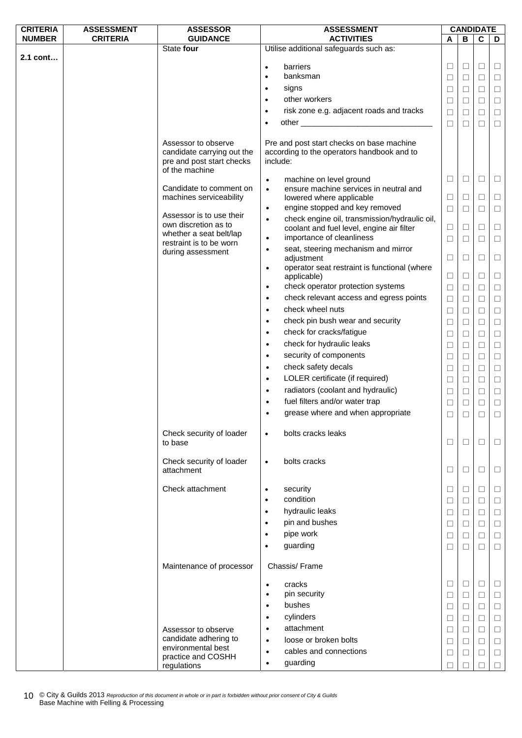| <b>CRITERIA</b> | <b>ASSESSMENT</b> | <b>ASSESSOR</b>                                                                                  | <b>ASSESSMENT</b>                                                                                                                                                                                                                           | <b>CANDIDATE</b> |        |        |        |  |
|-----------------|-------------------|--------------------------------------------------------------------------------------------------|---------------------------------------------------------------------------------------------------------------------------------------------------------------------------------------------------------------------------------------------|------------------|--------|--------|--------|--|
| <b>NUMBER</b>   | <b>CRITERIA</b>   | <b>GUIDANCE</b>                                                                                  | <b>ACTIVITIES</b>                                                                                                                                                                                                                           | A                | в      | C      | D      |  |
|                 |                   | State four                                                                                       | Utilise additional safeguards such as:                                                                                                                                                                                                      |                  |        |        |        |  |
| 2.1 cont        |                   |                                                                                                  |                                                                                                                                                                                                                                             |                  |        |        |        |  |
|                 |                   |                                                                                                  | barriers<br>$\bullet$                                                                                                                                                                                                                       | $\Box$           | $\Box$ | $\Box$ | □      |  |
|                 |                   |                                                                                                  | banksman<br>$\bullet$                                                                                                                                                                                                                       | $\Box$           | $\Box$ | $\Box$ | □      |  |
|                 |                   |                                                                                                  | signs<br>$\bullet$                                                                                                                                                                                                                          | $\Box$           | $\Box$ | $\Box$ | $\Box$ |  |
|                 |                   |                                                                                                  | other workers<br>$\bullet$                                                                                                                                                                                                                  | $\Box$           | $\Box$ | $\Box$ | $\Box$ |  |
|                 |                   |                                                                                                  | risk zone e.g. adjacent roads and tracks<br>$\bullet$                                                                                                                                                                                       | $\Box$           | $\Box$ | $\Box$ | $\Box$ |  |
|                 |                   |                                                                                                  | other experience and the state of the state of the state of the state of the state of the state of the state of the state of the state of the state of the state of the state of the state of the state of the state of the st<br>$\bullet$ |                  | $\Box$ | $\Box$ |        |  |
|                 |                   |                                                                                                  |                                                                                                                                                                                                                                             | $\Box$           |        |        | $\Box$ |  |
|                 |                   | Assessor to observe<br>candidate carrying out the<br>pre and post start checks<br>of the machine | Pre and post start checks on base machine<br>according to the operators handbook and to<br>include:                                                                                                                                         |                  |        |        |        |  |
|                 |                   |                                                                                                  | machine on level ground<br>$\bullet$                                                                                                                                                                                                        | $\Box$           | $\Box$ | $\Box$ | □      |  |
|                 |                   | Candidate to comment on                                                                          | ensure machine services in neutral and<br>$\bullet$                                                                                                                                                                                         |                  |        |        |        |  |
|                 |                   | machines serviceability                                                                          | lowered where applicable                                                                                                                                                                                                                    | $\Box$           | $\Box$ | $\Box$ | $\Box$ |  |
|                 |                   |                                                                                                  | engine stopped and key removed<br>$\bullet$                                                                                                                                                                                                 | $\Box$           | $\Box$ | П      | □      |  |
|                 |                   | Assessor is to use their                                                                         | check engine oil, transmission/hydraulic oil,<br>$\bullet$                                                                                                                                                                                  |                  |        |        |        |  |
|                 |                   | own discretion as to                                                                             | coolant and fuel level, engine air filter                                                                                                                                                                                                   | □                | $\Box$ | □      | □      |  |
|                 |                   | whether a seat belt/lap                                                                          | importance of cleanliness<br>$\bullet$                                                                                                                                                                                                      | $\Box$           | $\Box$ | П      | $\Box$ |  |
|                 |                   | restraint is to be worn                                                                          | seat, steering mechanism and mirror<br>$\bullet$                                                                                                                                                                                            |                  |        |        |        |  |
|                 |                   | during assessment                                                                                | adjustment                                                                                                                                                                                                                                  | $\Box$           | $\Box$ | □      | □      |  |
|                 |                   |                                                                                                  | operator seat restraint is functional (where<br>$\bullet$                                                                                                                                                                                   |                  |        |        |        |  |
|                 |                   |                                                                                                  | applicable)                                                                                                                                                                                                                                 | $\Box$           | $\Box$ | $\Box$ | $\Box$ |  |
|                 |                   |                                                                                                  | check operator protection systems<br>$\bullet$                                                                                                                                                                                              | $\Box$           | $\Box$ | П      | □      |  |
|                 |                   |                                                                                                  | check relevant access and egress points<br>$\bullet$                                                                                                                                                                                        |                  | $\Box$ | $\Box$ | $\Box$ |  |
|                 |                   |                                                                                                  |                                                                                                                                                                                                                                             | $\Box$           |        |        |        |  |
|                 |                   |                                                                                                  | check wheel nuts<br>$\bullet$                                                                                                                                                                                                               | $\Box$           | $\Box$ | □      | $\Box$ |  |
|                 |                   |                                                                                                  | check pin bush wear and security<br>$\bullet$                                                                                                                                                                                               | □                | $\Box$ | $\Box$ | $\Box$ |  |
|                 |                   |                                                                                                  | check for cracks/fatigue<br>$\bullet$                                                                                                                                                                                                       | $\Box$           | $\Box$ | $\Box$ | $\Box$ |  |
|                 |                   |                                                                                                  | check for hydraulic leaks<br>$\bullet$                                                                                                                                                                                                      | $\Box$           | $\Box$ | $\Box$ | $\Box$ |  |
|                 |                   |                                                                                                  | security of components<br>$\bullet$                                                                                                                                                                                                         | $\Box$           | $\Box$ | $\Box$ | $\Box$ |  |
|                 |                   |                                                                                                  | check safety decals                                                                                                                                                                                                                         |                  |        |        |        |  |
|                 |                   |                                                                                                  | $\bullet$                                                                                                                                                                                                                                   | □                | $\Box$ | $\Box$ | $\Box$ |  |
|                 |                   |                                                                                                  | LOLER certificate (if required)<br>$\bullet$                                                                                                                                                                                                | $\Box$           | $\Box$ | $\Box$ | $\Box$ |  |
|                 |                   |                                                                                                  | radiators (coolant and hydraulic)<br>$\bullet$                                                                                                                                                                                              | $\Box$           | $\Box$ | $\Box$ | $\Box$ |  |
|                 |                   |                                                                                                  | fuel filters and/or water trap<br>$\bullet$                                                                                                                                                                                                 | $\Box$           | $\Box$ | $\Box$ | $\Box$ |  |
|                 |                   |                                                                                                  | grease where and when appropriate<br>$\bullet$                                                                                                                                                                                              | □                | П      | $\Box$ | П      |  |
|                 |                   |                                                                                                  |                                                                                                                                                                                                                                             |                  |        |        |        |  |
|                 |                   | Check security of loader<br>to base                                                              | bolts cracks leaks<br>$\bullet$                                                                                                                                                                                                             | $\Box$           | $\Box$ | $\Box$ | ⊔      |  |
|                 |                   | Check security of loader                                                                         | bolts cracks<br>$\bullet$                                                                                                                                                                                                                   |                  |        |        |        |  |
|                 |                   | attachment                                                                                       |                                                                                                                                                                                                                                             | ⊔                | $\Box$ | ⊔      | ⊔      |  |
|                 |                   |                                                                                                  |                                                                                                                                                                                                                                             |                  |        |        |        |  |
|                 |                   | Check attachment                                                                                 | security<br>$\bullet$                                                                                                                                                                                                                       | $\Box$           | $\Box$ | $\Box$ | ⊔      |  |
|                 |                   |                                                                                                  | condition<br>$\bullet$                                                                                                                                                                                                                      | $\Box$           | $\Box$ | $\Box$ | □      |  |
|                 |                   |                                                                                                  | hydraulic leaks<br>$\bullet$                                                                                                                                                                                                                | $\Box$           | $\Box$ | $\Box$ | $\Box$ |  |
|                 |                   |                                                                                                  | pin and bushes<br>$\bullet$                                                                                                                                                                                                                 | $\Box$           | $\Box$ | $\Box$ | $\Box$ |  |
|                 |                   |                                                                                                  | pipe work<br>$\bullet$                                                                                                                                                                                                                      |                  |        | $\Box$ |        |  |
|                 |                   |                                                                                                  |                                                                                                                                                                                                                                             | $\Box$           | $\Box$ |        | □      |  |
|                 |                   |                                                                                                  | guarding<br>$\bullet$                                                                                                                                                                                                                       | $\Box$           | $\Box$ | $\Box$ | $\Box$ |  |
|                 |                   | Maintenance of processor                                                                         | Chassis/Frame                                                                                                                                                                                                                               |                  |        |        |        |  |
|                 |                   |                                                                                                  | cracks<br>$\bullet$                                                                                                                                                                                                                         | $\Box$           | $\Box$ | $\Box$ | ⊔      |  |
|                 |                   |                                                                                                  | pin security<br>$\bullet$                                                                                                                                                                                                                   | $\Box$           | $\Box$ | $\Box$ | П      |  |
|                 |                   |                                                                                                  | bushes<br>$\bullet$                                                                                                                                                                                                                         |                  | $\Box$ | $\Box$ | $\Box$ |  |
|                 |                   |                                                                                                  |                                                                                                                                                                                                                                             | $\Box$           |        |        |        |  |
|                 |                   |                                                                                                  | cylinders<br>$\bullet$                                                                                                                                                                                                                      | $\Box$           | $\Box$ | $\Box$ | $\Box$ |  |
|                 |                   | Assessor to observe                                                                              | attachment<br>$\bullet$                                                                                                                                                                                                                     | $\Box$           | $\Box$ | $\Box$ | $\Box$ |  |
|                 |                   | candidate adhering to                                                                            | loose or broken bolts<br>$\bullet$                                                                                                                                                                                                          | $\Box$           | $\Box$ | $\Box$ | □      |  |
|                 |                   | environmental best                                                                               | cables and connections<br>$\bullet$                                                                                                                                                                                                         | $\Box$           | □      | $\Box$ | □      |  |
|                 |                   | practice and COSHH                                                                               | guarding<br>$\bullet$                                                                                                                                                                                                                       | П                |        |        | П      |  |
|                 |                   | regulations                                                                                      |                                                                                                                                                                                                                                             |                  |        |        |        |  |

© City & Guilds 2013 *Reproduction of this document in whole or in part is forbidden without prior consent of City & Guilds*  10 © City & Guilds 2013 Reproduction of this doc<br>Base Machine with Felling & Processing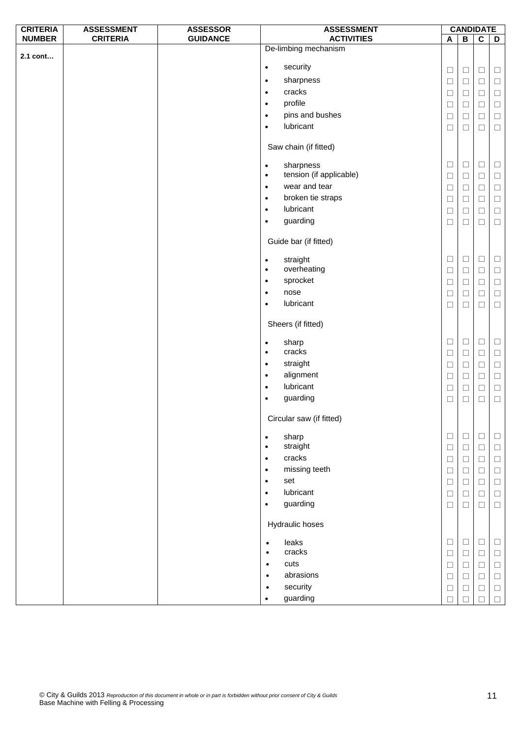| <b>CRITERIA</b> | <b>ASSESSMENT</b> | <b>ASSESSOR</b> |                        | <b>ASSESSMENT</b>        | <b>CANDIDATE</b> |                  |                         |             |
|-----------------|-------------------|-----------------|------------------------|--------------------------|------------------|------------------|-------------------------|-------------|
| <b>NUMBER</b>   | <b>CRITERIA</b>   | <b>GUIDANCE</b> |                        | <b>ACTIVITIES</b>        | A                | $\overline{B}$   | $\overline{\mathbf{c}}$ | D           |
| 2.1 cont        |                   |                 |                        | De-limbing mechanism     |                  |                  |                         |             |
|                 |                   |                 | $\bullet$              | security                 |                  |                  |                         |             |
|                 |                   |                 | $\bullet$              | sharpness                | $\Box$           | $\Box$           | $\Box$                  | $\Box$      |
|                 |                   |                 | $\bullet$              | cracks                   | $\Box$           | $\Box$           | $\Box$                  | $\Box$      |
|                 |                   |                 | $\bullet$              | profile                  | $\Box$           | $\Box$           | $\Box$                  | $\Box$      |
|                 |                   |                 | $\bullet$              | pins and bushes          | $\Box$           | $\Box$           | $\Box$                  | $\Box$      |
|                 |                   |                 | $\bullet$              | lubricant                | $\Box$           | $\Box$           | $\Box$                  | $\Box$      |
|                 |                   |                 |                        |                          | $\Box$           | $\Box$           | $\Box$                  | $\Box$      |
|                 |                   |                 |                        | Saw chain (if fitted)    |                  |                  |                         |             |
|                 |                   |                 | $\bullet$              | sharpness                | $\Box$           | $\Box$           | $\Box$                  | $\Box$      |
|                 |                   |                 | $\bullet$              | tension (if applicable)  | $\Box$           | $\Box$           | $\Box$                  | $\Box$      |
|                 |                   |                 | $\bullet$              | wear and tear            | $\Box$           | $\Box$           | $\Box$                  | $\Box$      |
|                 |                   |                 | $\bullet$              | broken tie straps        | $\Box$           | $\Box$           | $\Box$                  | $\Box$      |
|                 |                   |                 | $\bullet$              | lubricant                | $\Box$           | $\Box$           | $\Box$                  | $\Box$      |
|                 |                   |                 | $\bullet$              | guarding                 | $\Box$           | $\Box$           | $\Box$                  | $\Box$      |
|                 |                   |                 |                        | Guide bar (if fitted)    |                  |                  |                         |             |
|                 |                   |                 |                        | straight                 | $\Box$           | $\Box$           | $\Box$                  | $\Box$      |
|                 |                   |                 | $\bullet$<br>$\bullet$ | overheating              |                  |                  | $\Box$                  |             |
|                 |                   |                 | $\bullet$              | sprocket                 | $\Box$           | $\Box$           |                         | $\Box$      |
|                 |                   |                 | $\bullet$              | nose                     | $\Box$           | $\Box$           | $\Box$                  | $\Box$      |
|                 |                   |                 | $\bullet$              | lubricant                | $\Box$           | $\Box$           | $\Box$                  | $\Box$      |
|                 |                   |                 |                        |                          | $\Box$           | $\Box$           | $\Box$                  | $\Box$      |
|                 |                   |                 |                        | Sheers (if fitted)       |                  |                  |                         |             |
|                 |                   |                 | $\bullet$              | sharp<br>cracks          | $\Box$           | $\Box$           | $\Box$                  | $\Box$      |
|                 |                   |                 | $\bullet$              | straight                 | $\Box$           | $\Box$           | $\Box$                  | $\Box$      |
|                 |                   |                 | $\bullet$              | alignment                | $\Box$           | $\Box$           | $\Box$                  | $\Box$      |
|                 |                   |                 | $\bullet$              | lubricant                | $\Box$           | $\Box$           | $\Box$                  | $\Box$      |
|                 |                   |                 | $\bullet$              |                          | $\Box$           | $\Box$           | $\Box$                  | $\Box$      |
|                 |                   |                 | $\bullet$              | guarding                 | $\Box$           | $\Box$           | $\Box$                  | $\Box$      |
|                 |                   |                 |                        | Circular saw (if fitted) |                  |                  |                         |             |
|                 |                   |                 | $\bullet$<br>$\bullet$ | sharp<br>straight        | $\Box$<br>$\Box$ | $\Box$<br>$\Box$ | $\Box$<br>$\Box$        | Ц<br>$\Box$ |
|                 |                   |                 | $\bullet$              | cracks                   | $\Box$           | $\Box$           | $\Box$                  | $\Box$      |
|                 |                   |                 | $\bullet$              | missing teeth            | $\Box$           | $\Box$           | $\Box$                  | $\Box$      |
|                 |                   |                 | $\bullet$              | set                      | $\Box$           | $\Box$           | $\Box$                  | $\Box$      |
|                 |                   |                 | $\bullet$              | lubricant                | $\Box$           | $\Box$           | $\Box$                  | $\Box$      |
|                 |                   |                 | $\bullet$              | guarding                 | $\Box$           | $\Box$           | $\Box$                  | $\Box$      |
|                 |                   |                 |                        |                          |                  |                  |                         |             |
|                 |                   |                 |                        | Hydraulic hoses          |                  |                  |                         |             |
|                 |                   |                 | $\bullet$              | leaks                    | $\Box$           | $\Box$           | $\Box$                  | $\Box$      |
|                 |                   |                 | $\bullet$              | cracks                   | $\Box$           | $\Box$           | $\Box$                  | $\Box$      |
|                 |                   |                 | $\bullet$              | cuts                     | $\Box$           | $\Box$           | $\Box$                  | $\Box$      |
|                 |                   |                 | $\bullet$              | abrasions                | $\Box$           | $\Box$           | $\Box$                  | $\Box$      |
|                 |                   |                 | $\bullet$              | security                 | $\Box$           | □                | $\Box$                  | $\Box$      |
|                 |                   |                 | $\bullet$              | guarding                 | $\Box$           | $\Box$           | П                       | $\Box$      |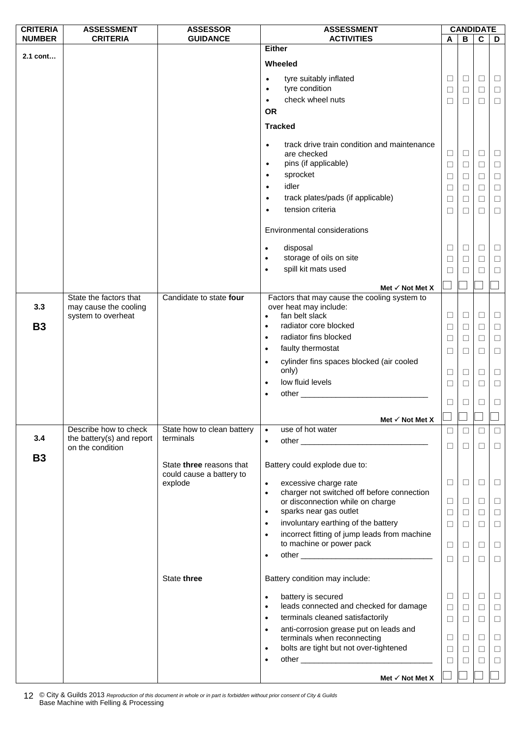| <b>CRITERIA</b> | <b>ASSESSMENT</b>                               | <b>ASSESSOR</b>                     | <b>ASSESSMENT</b>                                                                     |        |        | <b>CANDIDATE</b> |        |
|-----------------|-------------------------------------------------|-------------------------------------|---------------------------------------------------------------------------------------|--------|--------|------------------|--------|
| <b>NUMBER</b>   | <b>CRITERIA</b>                                 | <b>GUIDANCE</b>                     | <b>ACTIVITIES</b>                                                                     | A      | B      | C                | D      |
| 2.1 cont        |                                                 |                                     | <b>Either</b>                                                                         |        |        |                  |        |
|                 |                                                 |                                     | Wheeled                                                                               |        |        |                  |        |
|                 |                                                 |                                     | tyre suitably inflated<br>$\bullet$                                                   | $\Box$ | Ц      | $\Box$           | $\Box$ |
|                 |                                                 |                                     | tyre condition<br>$\bullet$                                                           | $\Box$ | ⊔      | $\Box$           | $\Box$ |
|                 |                                                 |                                     | check wheel nuts<br>$\bullet$                                                         | $\Box$ | $\Box$ | $\Box$           | $\Box$ |
|                 |                                                 |                                     | <b>OR</b>                                                                             |        |        |                  |        |
|                 |                                                 |                                     |                                                                                       |        |        |                  |        |
|                 |                                                 |                                     | <b>Tracked</b>                                                                        |        |        |                  |        |
|                 |                                                 |                                     | track drive train condition and maintenance<br>$\bullet$                              |        |        |                  |        |
|                 |                                                 |                                     | are checked                                                                           | $\Box$ | Ц      | $\Box$           | $\Box$ |
|                 |                                                 |                                     | pins (if applicable)<br>$\bullet$                                                     | $\Box$ | $\Box$ | $\Box$           | $\Box$ |
|                 |                                                 |                                     | sprocket<br>$\bullet$                                                                 | $\Box$ | □      | □                | $\Box$ |
|                 |                                                 |                                     | idler<br>$\bullet$                                                                    | $\Box$ | $\Box$ | $\Box$           | $\Box$ |
|                 |                                                 |                                     | track plates/pads (if applicable)<br>$\bullet$                                        | $\Box$ | □      | $\Box$           | $\Box$ |
|                 |                                                 |                                     | tension criteria<br>$\bullet$                                                         | $\Box$ | □      | □                | $\Box$ |
|                 |                                                 |                                     |                                                                                       |        |        |                  |        |
|                 |                                                 |                                     | Environmental considerations                                                          |        |        |                  |        |
|                 |                                                 |                                     | disposal<br>$\bullet$                                                                 | $\Box$ | Ц      | □                | $\Box$ |
|                 |                                                 |                                     | storage of oils on site<br>$\bullet$                                                  | $\Box$ | □      | $\Box$           | $\Box$ |
|                 |                                                 |                                     | spill kit mats used<br>$\bullet$                                                      | $\Box$ | П      | П                | $\Box$ |
|                 |                                                 |                                     |                                                                                       |        |        |                  |        |
|                 |                                                 | Candidate to state four             | Met $\checkmark$ Not Met X                                                            |        |        |                  |        |
| 3.3             | State the factors that<br>may cause the cooling |                                     | Factors that may cause the cooling system to<br>over heat may include:                |        |        |                  |        |
|                 | system to overheat                              |                                     | fan belt slack<br>$\bullet$                                                           | $\Box$ | □      | $\Box$           | $\Box$ |
| <b>B3</b>       |                                                 |                                     | radiator core blocked<br>$\bullet$                                                    | $\Box$ | ⊔      | $\Box$           | $\Box$ |
|                 |                                                 |                                     | radiator fins blocked<br>$\bullet$                                                    | $\Box$ | □      | $\Box$           | $\Box$ |
|                 |                                                 |                                     | faulty thermostat<br>$\bullet$                                                        | $\Box$ | $\Box$ | $\Box$           | $\Box$ |
|                 |                                                 |                                     | cylinder fins spaces blocked (air cooled<br>$\bullet$                                 |        |        |                  |        |
|                 |                                                 |                                     | only)                                                                                 | $\Box$ | ⊔      | $\Box$           | $\Box$ |
|                 |                                                 |                                     | low fluid levels<br>$\bullet$                                                         | $\Box$ | $\Box$ | $\Box$           | $\Box$ |
|                 |                                                 |                                     | $\bullet$                                                                             |        |        |                  |        |
|                 |                                                 |                                     |                                                                                       | $\Box$ | ⊔      | □                | $\Box$ |
|                 |                                                 |                                     | Met $\checkmark$ Not Met X                                                            | ┑      | П      |                  |        |
|                 | Describe how to check                           | State how to clean battery          | use of hot water<br>$\bullet$                                                         | $\Box$ | □      | □                | $\Box$ |
| 3.4             | the battery(s) and report                       | terminals                           | $\bullet$                                                                             |        |        |                  |        |
|                 | on the condition                                |                                     |                                                                                       | $\Box$ | $\Box$ | $\Box$           | $\Box$ |
| <b>B3</b>       |                                                 | State three reasons that            | Battery could explode due to:                                                         |        |        |                  |        |
|                 |                                                 | could cause a battery to<br>explode | excessive charge rate<br>$\bullet$                                                    | $\Box$ | $\Box$ | □                | $\Box$ |
|                 |                                                 |                                     | charger not switched off before connection<br>$\bullet$                               |        |        |                  |        |
|                 |                                                 |                                     | or disconnection while on charge                                                      | $\Box$ | $\Box$ | $\Box$           | $\Box$ |
|                 |                                                 |                                     | sparks near gas outlet<br>$\bullet$                                                   | $\Box$ | □      | □                | $\Box$ |
|                 |                                                 |                                     | involuntary earthing of the battery<br>$\bullet$                                      | $\Box$ | $\Box$ | $\Box$           | $\Box$ |
|                 |                                                 |                                     | incorrect fitting of jump leads from machine<br>$\bullet$<br>to machine or power pack |        |        |                  |        |
|                 |                                                 |                                     | $\bullet$                                                                             | $\Box$ | $\Box$ | $\Box$           | $\Box$ |
|                 |                                                 |                                     |                                                                                       | $\Box$ | $\Box$ | $\Box$           | $\Box$ |
|                 |                                                 | State three                         | Battery condition may include:                                                        |        |        |                  |        |
|                 |                                                 |                                     | battery is secured<br>$\bullet$                                                       | $\Box$ | $\Box$ | $\Box$           | $\Box$ |
|                 |                                                 |                                     | leads connected and checked for damage<br>$\bullet$                                   | $\Box$ | □      | □                | $\Box$ |
|                 |                                                 |                                     | terminals cleaned satisfactorily<br>$\bullet$                                         | $\Box$ | $\Box$ | $\Box$           | $\Box$ |
|                 |                                                 |                                     | anti-corrosion grease put on leads and<br>$\bullet$                                   |        |        |                  |        |
|                 |                                                 |                                     | terminals when reconnecting                                                           | $\Box$ | $\Box$ | $\Box$           | $\Box$ |
|                 |                                                 |                                     | bolts are tight but not over-tightened<br>$\bullet$                                   | $\Box$ | $\Box$ | $\Box$           | $\Box$ |
|                 |                                                 |                                     | $\bullet$                                                                             | □      | ⊔      | ⊔                | $\Box$ |
|                 |                                                 |                                     |                                                                                       |        |        |                  |        |
|                 |                                                 |                                     | Met $\checkmark$ Not Met X                                                            |        |        |                  |        |

© City & Guilds 2013 *Reproduction of this document in whole or in part is forbidden without prior consent of City & Guilds*  12 © City & Guilds 2013 Reproduction of this doc<br>Base Machine with Felling & Processing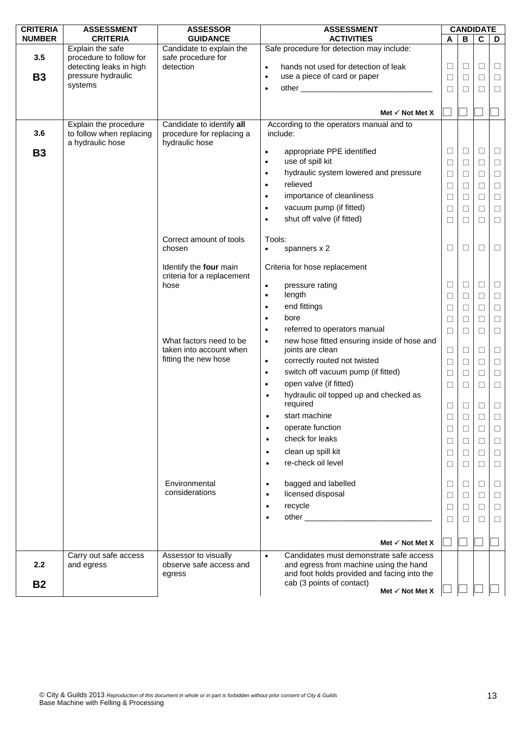| <b>CRITERIA</b>  | <b>ASSESSMENT</b>                                                                                       | <b>ASSESSOR</b>                                                          | <b>ASSESSMENT</b>                                                                                                                             |             | <b>CANDIDATE</b> |                  |                  |
|------------------|---------------------------------------------------------------------------------------------------------|--------------------------------------------------------------------------|-----------------------------------------------------------------------------------------------------------------------------------------------|-------------|------------------|------------------|------------------|
| <b>NUMBER</b>    | <b>CRITERIA</b>                                                                                         | <b>GUIDANCE</b>                                                          | <b>ACTIVITIES</b>                                                                                                                             | A           | B                | C                | D                |
| 3.5<br><b>B3</b> | Explain the safe<br>procedure to follow for<br>detecting leaks in high<br>pressure hydraulic<br>systems | Candidate to explain the<br>safe procedure for<br>detection              | Safe procedure for detection may include:<br>hands not used for detection of leak<br>$\bullet$<br>use a piece of card or paper<br>$\bullet$   | $\Box$<br>□ | $\Box$<br>$\Box$ | $\Box$<br>$\Box$ | $\Box$<br>$\Box$ |
|                  |                                                                                                         |                                                                          | $\bullet$                                                                                                                                     | $\Box$      | $\Box$           | □                | $\Box$           |
|                  |                                                                                                         |                                                                          |                                                                                                                                               |             |                  |                  |                  |
|                  |                                                                                                         |                                                                          | Met $\checkmark$ Not Met X                                                                                                                    |             |                  |                  |                  |
| 3.6              | Explain the procedure<br>to follow when replacing<br>a hydraulic hose                                   | Candidate to identify all<br>procedure for replacing a<br>hydraulic hose | According to the operators manual and to<br>include:                                                                                          |             |                  |                  |                  |
| <b>B3</b>        |                                                                                                         |                                                                          | appropriate PPE identified<br>$\bullet$<br>use of spill kit<br>$\bullet$                                                                      | □<br>$\Box$ | $\Box$<br>$\Box$ | $\Box$<br>$\Box$ | $\Box$<br>$\Box$ |
|                  |                                                                                                         |                                                                          | hydraulic system lowered and pressure<br>$\bullet$                                                                                            | $\Box$      | $\Box$           | $\Box$           | $\Box$           |
|                  |                                                                                                         |                                                                          | relieved<br>$\bullet$                                                                                                                         | $\Box$      | $\Box$           | $\Box$           | $\Box$           |
|                  |                                                                                                         |                                                                          | importance of cleanliness                                                                                                                     | $\Box$      | $\Box$           | $\Box$           | $\Box$           |
|                  |                                                                                                         |                                                                          | vacuum pump (if fitted)<br>$\bullet$                                                                                                          | □           | $\Box$           | $\Box$           | $\Box$           |
|                  |                                                                                                         |                                                                          | shut off valve (if fitted)<br>٠                                                                                                               | □           | $\Box$           | □                | $\Box$           |
|                  |                                                                                                         |                                                                          |                                                                                                                                               |             |                  |                  |                  |
|                  |                                                                                                         | Correct amount of tools                                                  | Tools:                                                                                                                                        |             |                  |                  |                  |
|                  |                                                                                                         | chosen                                                                   | spanners x 2<br>٠                                                                                                                             | □           | $\Box$           | $\Box$           | $\Box$           |
|                  |                                                                                                         | Identify the four main<br>criteria for a replacement                     | Criteria for hose replacement                                                                                                                 |             |                  |                  |                  |
|                  |                                                                                                         | hose                                                                     | pressure rating<br>$\bullet$                                                                                                                  | □           | $\Box$           | $\Box$           | $\Box$           |
|                  |                                                                                                         |                                                                          | length<br>$\bullet$                                                                                                                           | ⊔           | $\Box$           | $\Box$           | $\Box$           |
|                  |                                                                                                         |                                                                          | end fittings<br>$\bullet$                                                                                                                     | $\Box$      | $\Box$           | $\Box$           | $\Box$           |
|                  |                                                                                                         |                                                                          | bore<br>$\bullet$                                                                                                                             | $\Box$      | □                | □                | $\Box$           |
|                  |                                                                                                         |                                                                          | referred to operators manual<br>$\bullet$                                                                                                     | $\Box$      | $\Box$           | $\Box$           | $\Box$           |
|                  |                                                                                                         | What factors need to be<br>taken into account when                       | new hose fitted ensuring inside of hose and<br>$\bullet$<br>joints are clean                                                                  | $\Box$      | $\Box$           | $\Box$           | $\Box$           |
|                  |                                                                                                         | fitting the new hose                                                     | correctly routed not twisted<br>$\bullet$                                                                                                     | $\Box$      | $\Box$           | $\Box$           | $\Box$           |
|                  |                                                                                                         |                                                                          | switch off vacuum pump (if fitted)<br>$\bullet$                                                                                               | $\Box$      | $\Box$           | $\Box$           | $\Box$           |
|                  |                                                                                                         |                                                                          | open valve (if fitted)<br>$\bullet$                                                                                                           | □           | $\Box$           | □                | $\Box$           |
|                  |                                                                                                         |                                                                          | hydraulic oil topped up and checked as<br>required                                                                                            | □           | $\Box$           | $\Box$           | $\Box$           |
|                  |                                                                                                         |                                                                          | start machine                                                                                                                                 |             | $\Box$           |                  | $\Box$           |
|                  |                                                                                                         |                                                                          | operate function<br>$\bullet$                                                                                                                 | $\Box$      | $\Box$           | □                | $\Box$           |
|                  |                                                                                                         |                                                                          | check for leaks<br>$\bullet$                                                                                                                  | $\Box$      | $\Box$           | $\Box$           | $\Box$           |
|                  |                                                                                                         |                                                                          | clean up spill kit<br>$\bullet$                                                                                                               | □           | $\Box$           | $\Box$           | $\Box$           |
|                  |                                                                                                         |                                                                          | re-check oil level<br>$\bullet$                                                                                                               | ⊔           | $\Box$           | □                | $\Box$           |
|                  |                                                                                                         | Environmental                                                            | bagged and labelled<br>$\bullet$                                                                                                              | □           | $\Box$           | $\Box$           | $\Box$           |
|                  |                                                                                                         | considerations                                                           | licensed disposal<br>$\bullet$                                                                                                                | ⊔           | П                | □                | $\Box$           |
|                  |                                                                                                         |                                                                          | recycle<br>$\bullet$                                                                                                                          | $\Box$      | П                | $\Box$           | $\Box$           |
|                  |                                                                                                         |                                                                          | $\bullet$                                                                                                                                     | П           | ш                | □                | $\Box$           |
|                  |                                                                                                         |                                                                          | Met $\checkmark$ Not Met X                                                                                                                    |             |                  |                  |                  |
|                  |                                                                                                         |                                                                          |                                                                                                                                               |             |                  |                  |                  |
| 2.2              | Carry out safe access<br>and egress                                                                     | Assessor to visually<br>observe safe access and<br>egress                | Candidates must demonstrate safe access<br>$\bullet$<br>and egress from machine using the hand<br>and foot holds provided and facing into the |             |                  |                  |                  |
| <b>B2</b>        |                                                                                                         |                                                                          | cab (3 points of contact)<br>Met $\checkmark$ Not Met X                                                                                       |             |                  |                  |                  |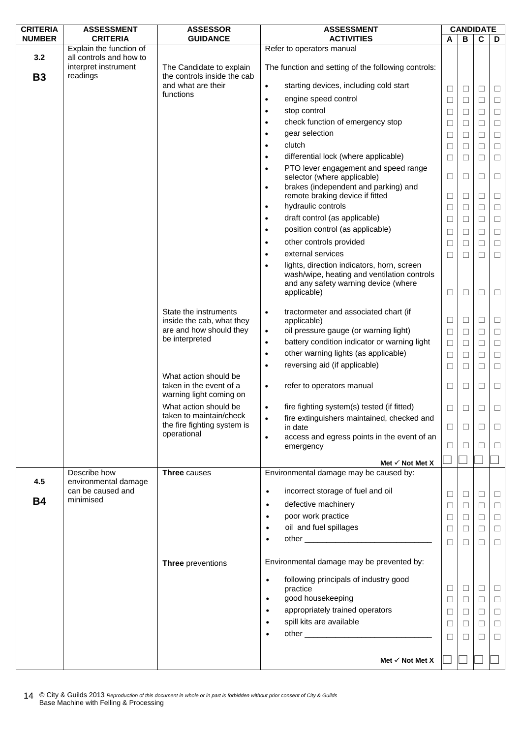| <b>CRITERIA</b>  | <b>ASSESSMENT</b>                                           | <b>ASSESSOR</b>                                                             | <b>ASSESSMENT</b>                                                                                                                                                        |              | <b>CANDIDATE</b> |              |        |
|------------------|-------------------------------------------------------------|-----------------------------------------------------------------------------|--------------------------------------------------------------------------------------------------------------------------------------------------------------------------|--------------|------------------|--------------|--------|
| <b>NUMBER</b>    | <b>CRITERIA</b>                                             | <b>GUIDANCE</b>                                                             | <b>ACTIVITIES</b>                                                                                                                                                        | A            | В                | C            | D      |
|                  | Explain the function of                                     |                                                                             | Refer to operators manual                                                                                                                                                |              |                  |              |        |
| 3.2<br><b>B3</b> | all controls and how to<br>interpret instrument<br>readings | The Candidate to explain<br>the controls inside the cab                     | The function and setting of the following controls:                                                                                                                      |              |                  |              |        |
|                  |                                                             | and what are their                                                          | starting devices, including cold start<br>$\bullet$                                                                                                                      | $\Box$       | $\Box$           | $\Box$       | $\Box$ |
|                  |                                                             | functions                                                                   | engine speed control<br>$\bullet$                                                                                                                                        | $\Box$       | $\Box$           | $\Box$       | $\Box$ |
|                  |                                                             |                                                                             | stop control<br>$\bullet$                                                                                                                                                | ⊔            | ⊔                | □            | $\Box$ |
|                  |                                                             |                                                                             | check function of emergency stop<br>$\bullet$                                                                                                                            | $\Box$       | $\Box$           | $\Box$       |        |
|                  |                                                             |                                                                             | gear selection                                                                                                                                                           |              |                  |              | $\Box$ |
|                  |                                                             |                                                                             | clutch                                                                                                                                                                   | □            | $\Box$           | $\Box$       | $\Box$ |
|                  |                                                             |                                                                             | $\bullet$                                                                                                                                                                | ⊔            | L                | ⊔            | □      |
|                  |                                                             |                                                                             | differential lock (where applicable)<br>$\bullet$                                                                                                                        | $\Box$       | □                | $\Box$       | $\Box$ |
|                  |                                                             |                                                                             | PTO lever engagement and speed range<br>$\bullet$<br>selector (where applicable)<br>brakes (independent and parking) and<br>$\bullet$<br>remote braking device if fitted | □            | □<br>□           | □            | □      |
|                  |                                                             |                                                                             | hydraulic controls<br>$\bullet$                                                                                                                                          | ⊔            |                  | $\Box$       | $\Box$ |
|                  |                                                             |                                                                             |                                                                                                                                                                          | $\Box$       | $\Box$           | $\Box$       | $\Box$ |
|                  |                                                             |                                                                             | draft control (as applicable)<br>$\bullet$                                                                                                                               | □            | $\Box$           | П            | $\Box$ |
|                  |                                                             |                                                                             | position control (as applicable)<br>٠                                                                                                                                    | $\Box$       | □                | $\Box$       | $\Box$ |
|                  |                                                             |                                                                             | other controls provided<br>$\bullet$                                                                                                                                     | $\Box$       | □                | $\Box$       | $\Box$ |
|                  |                                                             |                                                                             | external services                                                                                                                                                        | $\Box$       | $\Box$           | $\Box$       | $\Box$ |
|                  |                                                             |                                                                             | lights, direction indicators, horn, screen<br>wash/wipe, heating and ventilation controls<br>and any safety warning device (where<br>applicable)                         | □            | $\Box$           | $\Box$       | $\Box$ |
|                  |                                                             | State the instruments<br>inside the cab, what they                          | tractormeter and associated chart (if<br>$\bullet$<br>applicable)                                                                                                        | □            | $\Box$           | $\Box$       | $\Box$ |
|                  |                                                             | are and how should they                                                     | oil pressure gauge (or warning light)<br>$\bullet$                                                                                                                       | $\Box$       | □                | $\Box$       | $\Box$ |
|                  |                                                             | be interpreted                                                              | battery condition indicator or warning light<br>$\bullet$                                                                                                                | $\Box$       | □                | □            | $\Box$ |
|                  |                                                             |                                                                             | other warning lights (as applicable)<br>$\bullet$                                                                                                                        | $\Box$       | $\Box$           | $\Box$       | $\Box$ |
|                  |                                                             |                                                                             | reversing aid (if applicable)                                                                                                                                            | □            | □                | $\Box$       | $\Box$ |
|                  |                                                             | What action should be<br>taken in the event of a<br>warning light coming on | refer to operators manual<br>$\bullet$                                                                                                                                   | □            | □                | □            | $\Box$ |
|                  |                                                             | What action should be                                                       | fire fighting system(s) tested (if fitted)<br>$\bullet$                                                                                                                  | $\Box$       | □                | □            | $\Box$ |
|                  |                                                             | taken to maintain/check                                                     | fire extinguishers maintained, checked and                                                                                                                               |              |                  |              |        |
|                  |                                                             | the fire fighting system is<br>operational                                  | in date                                                                                                                                                                  | □            | □                | $\mathsf{L}$ | □      |
|                  |                                                             |                                                                             | access and egress points in the event of an<br>$\bullet$<br>emergency                                                                                                    | $\mathbf{L}$ | $\Box$           | П            | $\Box$ |
|                  |                                                             |                                                                             | Met $\checkmark$ Not Met X                                                                                                                                               |              |                  |              |        |
|                  | Describe how                                                | <b>Three</b> causes                                                         | Environmental damage may be caused by:                                                                                                                                   |              |                  |              |        |
| 4.5              | environmental damage<br>can be caused and<br>minimised      |                                                                             | incorrect storage of fuel and oil<br>$\bullet$                                                                                                                           | □            | $\Box$           | $\Box$       | $\Box$ |
| <b>B4</b>        |                                                             |                                                                             | defective machinery<br>$\bullet$                                                                                                                                         | □            | $\Box$           | □            | $\Box$ |
|                  |                                                             |                                                                             | poor work practice<br>$\bullet$                                                                                                                                          | $\Box$       | $\Box$           | $\Box$       | $\Box$ |
|                  |                                                             |                                                                             | oil and fuel spillages<br>$\bullet$                                                                                                                                      | □            | $\Box$           | $\Box$       | $\Box$ |
|                  |                                                             |                                                                             |                                                                                                                                                                          | $\Box$       | П                | $\Box$       | $\Box$ |
|                  |                                                             | <b>Three</b> preventions                                                    | Environmental damage may be prevented by:                                                                                                                                |              |                  |              |        |
|                  |                                                             |                                                                             | following principals of industry good<br>$\bullet$                                                                                                                       |              |                  |              |        |
|                  |                                                             |                                                                             | practice                                                                                                                                                                 | □            | $\Box$           | $\Box$       | $\Box$ |
|                  |                                                             |                                                                             | good housekeeping<br>$\bullet$                                                                                                                                           | $\Box$       | $\Box$           | $\Box$       | $\Box$ |
|                  |                                                             |                                                                             | appropriately trained operators<br>$\bullet$                                                                                                                             | □            | $\Box$           | $\Box$       | $\Box$ |
|                  |                                                             |                                                                             | spill kits are available<br>$\bullet$                                                                                                                                    | □            | $\Box$           | $\Box$       | $\Box$ |
|                  |                                                             |                                                                             |                                                                                                                                                                          | $\Box$       | П                | П            | $\Box$ |
|                  |                                                             |                                                                             | Met $\checkmark$ Not Met X                                                                                                                                               |              |                  |              |        |
|                  |                                                             |                                                                             |                                                                                                                                                                          |              |                  |              |        |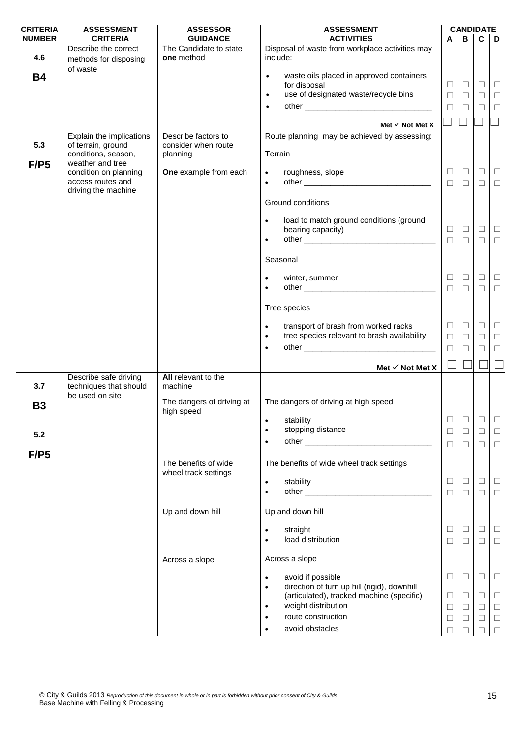| <b>CRITERIA</b> | <b>ASSESSMENT</b>                             | <b>ASSESSOR</b>                         | <b>ASSESSMENT</b>                                                                                     |                  |                  | <b>CANDIDATE</b> |                  |
|-----------------|-----------------------------------------------|-----------------------------------------|-------------------------------------------------------------------------------------------------------|------------------|------------------|------------------|------------------|
| <b>NUMBER</b>   | <b>CRITERIA</b>                               | <b>GUIDANCE</b>                         | <b>ACTIVITIES</b>                                                                                     | A                | B                | C                | D                |
| 4.6             | Describe the correct<br>methods for disposing | The Candidate to state<br>one method    | Disposal of waste from workplace activities may<br>include:                                           |                  |                  |                  |                  |
| <b>B4</b>       | of waste                                      |                                         | waste oils placed in approved containers<br>$\bullet$                                                 |                  |                  |                  |                  |
|                 |                                               |                                         | for disposal                                                                                          | $\Box$           | $\Box$           | $\Box$           | $\Box$           |
|                 |                                               |                                         | use of designated waste/recycle bins<br>$\bullet$                                                     | $\Box$           | $\Box$           | $\Box$           | $\Box$           |
|                 |                                               |                                         | $\bullet$                                                                                             | □                | П                | □                | $\Box$           |
|                 |                                               |                                         | Met $\checkmark$ Not Met X                                                                            |                  |                  |                  |                  |
|                 | Explain the implications                      | Describe factors to                     | Route planning may be achieved by assessing:                                                          |                  |                  |                  |                  |
| 5.3             | of terrain, ground<br>conditions, season,     | consider when route<br>planning         | Terrain                                                                                               |                  |                  |                  |                  |
| F/P5            | weather and tree<br>condition on planning     | One example from each                   |                                                                                                       | $\Box$           | $\Box$           | $\Box$           | $\Box$           |
|                 | access routes and                             |                                         | roughness, slope<br>$\bullet$<br>$\bullet$                                                            | $\Box$           | $\Box$           | $\Box$           | $\Box$           |
|                 | driving the machine                           |                                         |                                                                                                       |                  |                  |                  |                  |
|                 |                                               |                                         | Ground conditions                                                                                     |                  |                  |                  |                  |
|                 |                                               |                                         | load to match ground conditions (ground<br>$\bullet$                                                  |                  |                  |                  |                  |
|                 |                                               |                                         | bearing capacity)<br>$\bullet$                                                                        | $\Box$<br>$\Box$ | $\Box$<br>$\Box$ | $\Box$<br>$\Box$ | $\Box$<br>$\Box$ |
|                 |                                               |                                         |                                                                                                       |                  |                  |                  |                  |
|                 |                                               |                                         | Seasonal                                                                                              |                  |                  |                  |                  |
|                 |                                               |                                         | winter, summer<br>$\bullet$                                                                           | $\Box$           | $\Box$           | $\Box$           | $\Box$           |
|                 |                                               |                                         | $\bullet$                                                                                             | $\Box$           | $\Box$           | $\Box$           | $\Box$           |
|                 |                                               |                                         | Tree species                                                                                          |                  |                  |                  |                  |
|                 |                                               |                                         | transport of brash from worked racks<br>$\bullet$                                                     | □                | $\Box$           | $\Box$           | $\Box$           |
|                 |                                               |                                         | tree species relevant to brash availability<br>$\bullet$                                              | $\Box$           | $\Box$           | $\Box$           | $\Box$           |
|                 |                                               |                                         | $\bullet$                                                                                             | $\Box$           | $\Box$           | □                | $\Box$           |
|                 |                                               |                                         | Met $\checkmark$ Not Met X                                                                            |                  |                  |                  |                  |
|                 | Describe safe driving                         | All relevant to the                     |                                                                                                       |                  |                  |                  |                  |
| 3.7             | techniques that should<br>be used on site     | machine                                 |                                                                                                       |                  |                  |                  |                  |
| <b>B3</b>       |                                               | The dangers of driving at<br>high speed | The dangers of driving at high speed                                                                  |                  |                  |                  |                  |
|                 |                                               |                                         | stability<br>$\bullet$                                                                                | $\Box$           | ⊔                | ⊔                | ⊔                |
| 5.2             |                                               |                                         | stopping distance<br>$\bullet$                                                                        | $\Box$           | $\Box$           | $\Box$           | $\Box$           |
|                 |                                               |                                         | $\bullet$                                                                                             | $\Box$           | $\Box$           | $\Box$           | $\Box$           |
| F/P5            |                                               | The benefits of wide                    | The benefits of wide wheel track settings                                                             |                  |                  |                  |                  |
|                 |                                               | wheel track settings                    | stability<br>$\bullet$                                                                                | $\Box$           | $\Box$           | $\Box$           | $\Box$           |
|                 |                                               |                                         | $\bullet$                                                                                             | $\Box$           | $\Box$           | $\Box$           | $\Box$           |
|                 |                                               | Up and down hill                        | Up and down hill                                                                                      |                  |                  |                  |                  |
|                 |                                               |                                         |                                                                                                       |                  |                  |                  |                  |
|                 |                                               |                                         | straight<br>$\bullet$<br>load distribution<br>$\bullet$                                               | $\Box$           | ⊔                | □                | ⊔                |
|                 |                                               |                                         |                                                                                                       | □                | □                | $\Box$           | $\Box$           |
|                 |                                               | Across a slope                          | Across a slope                                                                                        |                  |                  |                  |                  |
|                 |                                               |                                         | avoid if possible<br>$\bullet$                                                                        | □                | □                | □                | $\Box$           |
|                 |                                               |                                         | direction of turn up hill (rigid), downhill<br>$\bullet$<br>(articulated), tracked machine (specific) | Ц                | □                | □                | $\Box$           |
|                 |                                               |                                         | weight distribution<br>$\bullet$                                                                      | Ц                | ⊔                | □                | $\Box$           |
|                 |                                               |                                         | route construction<br>$\bullet$                                                                       | $\Box$           | ⊔                | $\Box$           | $\Box$           |
|                 |                                               |                                         | avoid obstacles<br>$\bullet$                                                                          | □                |                  | П                | $\Box$           |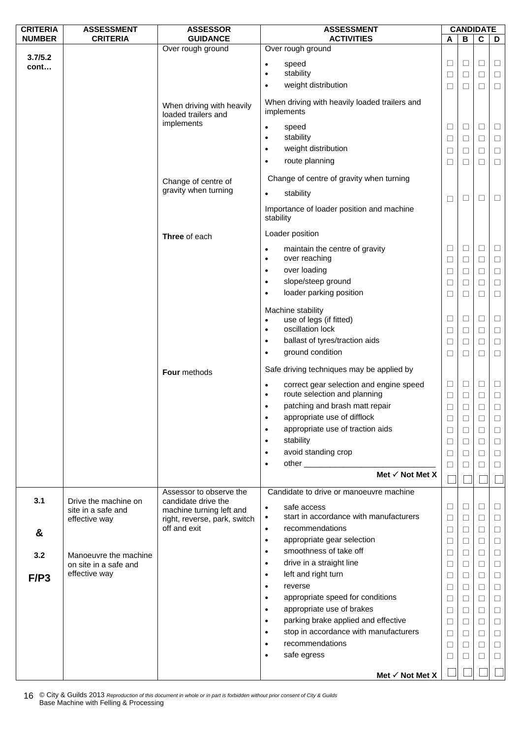| <b>CRITERIA</b> | <b>ASSESSMENT</b>                   | <b>ASSESSOR</b>                                          | <b>ASSESSMENT</b>                                                                    |                   | <b>CANDIDATE</b> |                         |        |
|-----------------|-------------------------------------|----------------------------------------------------------|--------------------------------------------------------------------------------------|-------------------|------------------|-------------------------|--------|
| <b>NUMBER</b>   | <b>CRITERIA</b>                     | <b>GUIDANCE</b>                                          | <b>ACTIVITIES</b>                                                                    | A                 | B                | $\overline{\mathbf{c}}$ | D      |
| 3.7/5.2         |                                     | Over rough ground                                        | Over rough ground                                                                    |                   |                  |                         |        |
| cont            |                                     |                                                          | speed<br>$\bullet$                                                                   | ⊔                 | $\Box$           | $\Box$                  | $\Box$ |
|                 |                                     |                                                          | stability<br>$\bullet$                                                               | $\Box$            | $\Box$           | $\Box$                  | $\Box$ |
|                 |                                     |                                                          | weight distribution<br>$\bullet$                                                     | □                 | $\Box$           | □                       | $\Box$ |
|                 |                                     | When driving with heavily<br>loaded trailers and         | When driving with heavily loaded trailers and<br>implements                          |                   |                  |                         |        |
|                 |                                     | implements                                               | speed<br>$\bullet$                                                                   | $\Box$            | $\Box$           | $\Box$                  | $\Box$ |
|                 |                                     |                                                          | stability<br>$\bullet$                                                               | $\Box$            | $\Box$           | $\Box$                  | $\Box$ |
|                 |                                     |                                                          | weight distribution<br>$\bullet$                                                     | $\Box$            | $\Box$           | $\Box$                  | $\Box$ |
|                 |                                     |                                                          | route planning<br>$\bullet$                                                          | $\Box$            | $\Box$           | $\Box$                  | $\Box$ |
|                 |                                     | Change of centre of                                      | Change of centre of gravity when turning                                             |                   |                  |                         |        |
|                 |                                     | gravity when turning                                     | stability<br>$\bullet$                                                               |                   | $\Box$           | $\Box$                  |        |
|                 |                                     |                                                          | Importance of loader position and machine                                            | □                 |                  |                         | □      |
|                 |                                     |                                                          | stability                                                                            |                   |                  |                         |        |
|                 |                                     | Three of each                                            | Loader position                                                                      |                   |                  |                         |        |
|                 |                                     |                                                          | maintain the centre of gravity<br>$\bullet$                                          | $\Box$            | $\Box$           | $\Box$                  | $\Box$ |
|                 |                                     |                                                          | over reaching<br>$\bullet$                                                           | ⊔                 | $\Box$           | □                       | $\Box$ |
|                 |                                     |                                                          | over loading<br>$\bullet$                                                            | $\Box$            | $\Box$           | $\Box$                  | $\Box$ |
|                 |                                     |                                                          | slope/steep ground<br>$\bullet$                                                      | □                 | $\Box$           | $\Box$                  | $\Box$ |
|                 |                                     |                                                          | loader parking position<br>$\bullet$                                                 | ⊔                 | □                | $\Box$                  | $\Box$ |
|                 |                                     |                                                          | Machine stability                                                                    |                   |                  |                         |        |
|                 |                                     |                                                          | use of legs (if fitted)<br>$\bullet$                                                 | $\Box$            | $\Box$           | $\Box$                  | $\Box$ |
|                 |                                     |                                                          | oscillation lock<br>$\bullet$                                                        | $\Box$            | $\Box$           | $\Box$                  | $\Box$ |
|                 |                                     |                                                          | ballast of tyres/traction aids<br>$\bullet$                                          | ⊔                 | ⊔                | □                       | $\Box$ |
|                 |                                     |                                                          | ground condition<br>$\bullet$                                                        | $\Box$            | $\Box$           | $\Box$                  | $\Box$ |
|                 |                                     | Four methods                                             | Safe driving techniques may be applied by                                            |                   |                  |                         |        |
|                 |                                     |                                                          | correct gear selection and engine speed<br>$\bullet$<br>route selection and planning | $\Box$            | $\Box$           | $\Box$                  | $\Box$ |
|                 |                                     |                                                          | $\bullet$<br>patching and brash matt repair<br>$\bullet$                             | $\Box$            | $\Box$           | $\Box$                  | $\Box$ |
|                 |                                     |                                                          | appropriate use of difflock                                                          | ⊔                 | $\Box$           | □                       | $\Box$ |
|                 |                                     |                                                          | appropriate use of traction aids                                                     |                   | $\Box$           | □                       | ⊔      |
|                 |                                     |                                                          | $\bullet$<br>stability                                                               | $\Box$            | $\Box$           | $\Box$                  | $\Box$ |
|                 |                                     |                                                          | $\bullet$<br>avoid standing crop                                                     | ⊔                 | $\Box$           | $\Box$                  | $\Box$ |
|                 |                                     |                                                          | $\bullet$<br>$\bullet$                                                               | $\Box$            | $\Box$           | $\Box$                  | $\Box$ |
|                 |                                     |                                                          | Met $\checkmark$ Not Met X                                                           | $\vert \ \ \vert$ | $\Box$           | □                       | $\Box$ |
|                 |                                     | Assessor to observe the                                  | Candidate to drive or manoeuvre machine                                              |                   |                  |                         |        |
| 3.1             | Drive the machine on                | candidate drive the                                      | safe access<br>$\bullet$                                                             | □                 | $\Box$           | $\Box$                  | $\Box$ |
|                 | site in a safe and<br>effective way | machine turning left and<br>right, reverse, park, switch | start in accordance with manufacturers<br>$\bullet$                                  | Ц                 | $\Box$           | $\Box$                  | $\Box$ |
|                 |                                     | off and exit                                             | recommendations<br>$\bullet$                                                         | $\Box$            | $\Box$           | $\Box$                  | $\Box$ |
| &               |                                     |                                                          | appropriate gear selection<br>$\bullet$                                              | $\Box$            | ⊔                | $\Box$                  | $\Box$ |
| 3.2             | Manoeuvre the machine               |                                                          | smoothness of take off<br>$\bullet$                                                  | $\Box$            | $\Box$           | $\Box$                  | $\Box$ |
|                 | on site in a safe and               |                                                          | drive in a straight line<br>$\bullet$                                                | $\Box$            | $\Box$           | $\Box$                  | $\Box$ |
| F/P3            | effective way                       |                                                          | left and right turn<br>$\bullet$                                                     | ⊔                 | ⊔                | □                       | $\Box$ |
|                 |                                     |                                                          | reverse<br>$\bullet$                                                                 | $\Box$            | $\Box$           | $\Box$                  | $\Box$ |
|                 |                                     |                                                          | appropriate speed for conditions<br>$\bullet$                                        | □                 | $\Box$           | $\Box$                  | $\Box$ |
|                 |                                     |                                                          | appropriate use of brakes<br>$\bullet$                                               | $\Box$            | $\Box$           | $\Box$                  | $\Box$ |
|                 |                                     |                                                          | parking brake applied and effective<br>$\bullet$                                     | $\Box$            | $\Box$           | $\Box$                  | $\Box$ |
|                 |                                     |                                                          | stop in accordance with manufacturers<br>$\bullet$                                   | Ц                 | ⊔                | □                       | $\Box$ |
|                 |                                     |                                                          | recommendations<br>$\bullet$                                                         | $\Box$            | $\Box$           | $\Box$                  | $\Box$ |
|                 |                                     |                                                          | safe egress<br>$\bullet$                                                             | □                 | □                | $\Box$                  | $\Box$ |
|                 |                                     |                                                          |                                                                                      |                   |                  |                         |        |
|                 |                                     |                                                          | Met $\checkmark$ Not Met X                                                           |                   |                  |                         |        |

© City & Guilds 2013 *Reproduction of this document in whole or in part is forbidden without prior consent of City & Guilds*  16 © City & Guilds 2013 Reproduction of this doc<br>Base Machine with Felling & Processing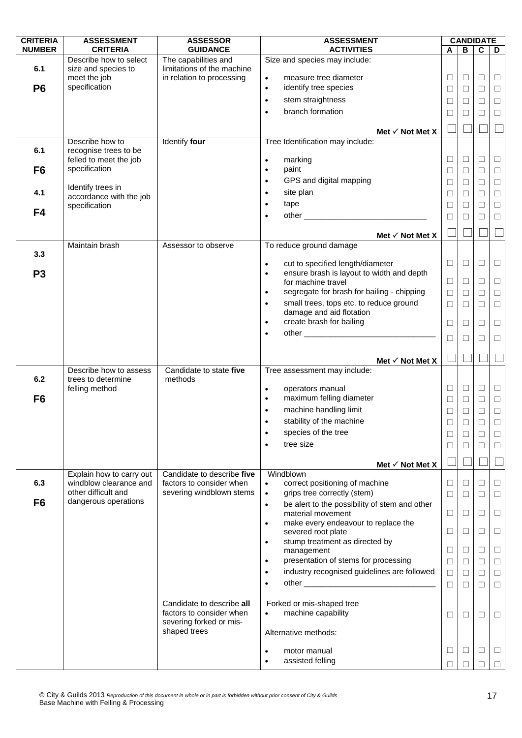| <b>CRITERIA</b> | <b>ASSESSMENT</b>                        | <b>ASSESSOR</b>            | <b>ASSESSMENT</b>                                                 |        |              | <b>CANDIDATE</b> |        |
|-----------------|------------------------------------------|----------------------------|-------------------------------------------------------------------|--------|--------------|------------------|--------|
| <b>NUMBER</b>   | <b>CRITERIA</b>                          | <b>GUIDANCE</b>            | <b>ACTIVITIES</b>                                                 | A      | В            | $\mathbf c$      | D      |
|                 | Describe how to select                   | The capabilities and       | Size and species may include:                                     |        |              |                  |        |
| 6.1             | size and species to                      | limitations of the machine |                                                                   |        |              |                  |        |
|                 | meet the job                             | in relation to processing  | measure tree diameter<br>$\bullet$                                | $\Box$ | $\Box$       | $\Box$           | $\Box$ |
| P <sub>6</sub>  | specification                            |                            | identify tree species<br>$\bullet$                                | $\Box$ | □            | □                | $\Box$ |
|                 |                                          |                            | stem straightness<br>$\bullet$                                    | $\Box$ | $\Box$       | $\Box$           | $\Box$ |
|                 |                                          |                            | branch formation<br>$\bullet$                                     | □      | $\mathbf{L}$ | $\Box$           | $\Box$ |
|                 |                                          |                            |                                                                   |        |              |                  |        |
|                 |                                          |                            | Met $\checkmark$ Not Met X                                        |        |              |                  |        |
| 6.1             | Describe how to<br>recognise trees to be | Identify four              | Tree Identification may include:                                  |        |              |                  |        |
|                 | felled to meet the job                   |                            | marking<br>$\bullet$                                              | $\Box$ | □            | $\Box$           | $\Box$ |
| F <sub>6</sub>  | specification                            |                            | paint<br>$\bullet$                                                | $\Box$ | ⊔            | $\Box$           | $\Box$ |
|                 |                                          |                            | GPS and digital mapping<br>$\bullet$                              | $\Box$ | $\Box$       | $\Box$           | $\Box$ |
| 4.1             | Identify trees in                        |                            | site plan<br>$\bullet$                                            |        |              |                  |        |
|                 | accordance with the job                  |                            |                                                                   | $\Box$ | $\Box$       | $\Box$           | $\Box$ |
| F4              | specification                            |                            | tape<br>$\bullet$                                                 | □      |              | □                | $\Box$ |
|                 |                                          |                            | $\bullet$                                                         | $\Box$ | □            | $\Box$           | $\Box$ |
|                 |                                          |                            | Met $\checkmark$ Not Met X                                        |        |              |                  |        |
|                 | Maintain brash                           | Assessor to observe        | To reduce ground damage                                           |        |              |                  |        |
| 3.3             |                                          |                            |                                                                   |        |              |                  |        |
|                 |                                          |                            | cut to specified length/diameter<br>$\bullet$                     | □      | ⊔            | □                | □      |
| P <sub>3</sub>  |                                          |                            | ensure brash is layout to width and depth<br>$\bullet$            |        |              |                  |        |
|                 |                                          |                            | for machine travel                                                | □      | ⊔            | □                | $\Box$ |
|                 |                                          |                            | segregate for brash for bailing - chipping<br>$\bullet$           | $\Box$ | $\Box$       | $\Box$           | $\Box$ |
|                 |                                          |                            | small trees, tops etc. to reduce ground<br>$\bullet$              | $\Box$ | П            | $\Box$           | $\Box$ |
|                 |                                          |                            | damage and aid flotation<br>create brash for bailing              |        |              |                  |        |
|                 |                                          |                            | $\bullet$                                                         | □      | ⊔            | □                | $\Box$ |
|                 |                                          |                            | $\bullet$                                                         | □      | П            | □                | $\Box$ |
|                 |                                          |                            |                                                                   |        |              |                  |        |
|                 |                                          |                            | Met $\checkmark$ Not Met X                                        |        |              |                  |        |
|                 | Describe how to assess                   | Candidate to state five    | Tree assessment may include:                                      |        |              |                  |        |
| 6.2             | trees to determine<br>felling method     | methods                    | operators manual<br>$\bullet$                                     | $\Box$ | □            | $\Box$           | $\Box$ |
| F <sub>6</sub>  |                                          |                            | maximum felling diameter<br>$\bullet$                             | □      | ⊔            | $\Box$           | $\Box$ |
|                 |                                          |                            | machine handling limit<br>$\bullet$                               | $\Box$ | □            | $\Box$           | $\Box$ |
|                 |                                          |                            | stability of the machine<br>$\bullet$                             | $\Box$ | П            | $\Box$           | $\Box$ |
|                 |                                          |                            | species of the tree                                               |        |              |                  |        |
|                 |                                          |                            |                                                                   | $\Box$ |              | □                | ⊔      |
|                 |                                          |                            | tree size                                                         | $\Box$ | ⊔            | $\Box$           | ⊔      |
|                 |                                          |                            | Met $\checkmark$ Not Met X                                        |        |              |                  |        |
|                 | Explain how to carry out                 | Candidate to describe five | Windblown                                                         |        |              |                  |        |
| 6.3             | windblow clearance and                   | factors to consider when   | correct positioning of machine<br>$\bullet$                       | $\Box$ | ⊔            | □                | □      |
|                 | other difficult and                      | severing windblown stems   | grips tree correctly (stem)<br>$\bullet$                          | □      | $\mathsf{L}$ | П                | □      |
| F <sub>6</sub>  | dangerous operations                     |                            | be alert to the possibility of stem and other<br>$\bullet$        |        |              |                  |        |
|                 |                                          |                            | material movement                                                 | □      | ⊔            | □                | □      |
|                 |                                          |                            | make every endeavour to replace the<br>$\bullet$                  |        |              | $\Box$           |        |
|                 |                                          |                            | severed root plate<br>stump treatment as directed by<br>$\bullet$ | $\Box$ | □            |                  | $\Box$ |
|                 |                                          |                            | management                                                        | $\Box$ | □            | $\Box$           | $\Box$ |
|                 |                                          |                            | presentation of stems for processing<br>$\bullet$                 | $\Box$ | $\Box$       | $\Box$           | $\Box$ |
|                 |                                          |                            | industry recognised guidelines are followed<br>$\bullet$          | $\Box$ | ⊔            | $\Box$           | $\Box$ |
|                 |                                          |                            | $\bullet$                                                         | $\Box$ | $\Box$       | $\Box$           | $\Box$ |
|                 |                                          |                            |                                                                   |        |              |                  |        |
|                 |                                          | Candidate to describe all  | Forked or mis-shaped tree                                         |        |              |                  |        |
|                 |                                          | factors to consider when   | machine capability<br>$\bullet$                                   | $\Box$ | ⊔            | □                | ⊔      |
|                 |                                          | severing forked or mis-    |                                                                   |        |              |                  |        |
|                 |                                          | shaped trees               | Alternative methods:                                              |        |              |                  |        |
|                 |                                          |                            |                                                                   |        |              |                  |        |
|                 |                                          |                            | motor manual<br>$\bullet$                                         | $\Box$ | ⊔            | $\Box$           | $\Box$ |
|                 |                                          |                            | assisted felling<br>$\bullet$                                     |        |              |                  |        |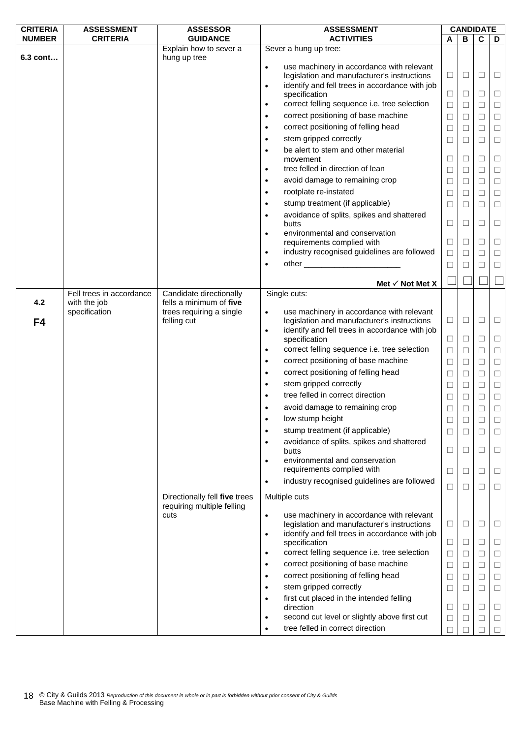| <b>CRITERIA</b> | <b>ASSESSMENT</b>        | <b>ASSESSOR</b>                        | <b>ASSESSMENT</b>                                                                                     | <b>CANDIDATE</b> |        |        |        |
|-----------------|--------------------------|----------------------------------------|-------------------------------------------------------------------------------------------------------|------------------|--------|--------|--------|
| <b>NUMBER</b>   | <b>CRITERIA</b>          | <b>GUIDANCE</b>                        | <b>ACTIVITIES</b>                                                                                     | A                | B      | C      | D      |
| 6.3 cont        |                          | Explain how to sever a<br>hung up tree | Sever a hung up tree:                                                                                 |                  |        |        |        |
|                 |                          |                                        | use machinery in accordance with relevant<br>$\bullet$<br>legislation and manufacturer's instructions | $\Box$           | $\Box$ | $\Box$ | $\Box$ |
|                 |                          |                                        | identify and fell trees in accordance with job<br>$\bullet$                                           |                  |        |        |        |
|                 |                          |                                        | specification                                                                                         | $\Box$           | $\Box$ | $\Box$ | $\Box$ |
|                 |                          |                                        | correct felling sequence i.e. tree selection<br>$\bullet$                                             | $\Box$           | $\Box$ | □      | $\Box$ |
|                 |                          |                                        | correct positioning of base machine<br>$\bullet$                                                      | $\Box$           | $\Box$ | $\Box$ | $\Box$ |
|                 |                          |                                        | correct positioning of felling head<br>$\bullet$                                                      | $\Box$           | $\Box$ | $\Box$ | $\Box$ |
|                 |                          |                                        | stem gripped correctly<br>$\bullet$                                                                   | ⊔                | ⊔      | $\Box$ | $\Box$ |
|                 |                          |                                        | be alert to stem and other material<br>$\bullet$                                                      |                  |        |        |        |
|                 |                          |                                        | movement<br>tree felled in direction of lean                                                          | ⊔                | ⊔      | $\Box$ | $\Box$ |
|                 |                          |                                        | $\bullet$                                                                                             | $\Box$           | $\Box$ | $\Box$ | $\Box$ |
|                 |                          |                                        | avoid damage to remaining crop<br>$\bullet$                                                           | □                | $\Box$ | $\Box$ | $\Box$ |
|                 |                          |                                        | rootplate re-instated<br>$\bullet$                                                                    | $\Box$           | $\Box$ | $\Box$ | $\Box$ |
|                 |                          |                                        | stump treatment (if applicable)<br>$\bullet$                                                          | $\Box$           | $\Box$ | $\Box$ | $\Box$ |
|                 |                          |                                        | avoidance of splits, spikes and shattered<br>$\bullet$<br>butts                                       | $\Box$           | $\Box$ | $\Box$ | $\Box$ |
|                 |                          |                                        | environmental and conservation<br>$\bullet$                                                           |                  |        |        |        |
|                 |                          |                                        | requirements complied with                                                                            | $\Box$           | ⊔      | □      | $\Box$ |
|                 |                          |                                        | industry recognised guidelines are followed<br>$\bullet$                                              | $\Box$           | $\Box$ | $\Box$ | $\Box$ |
|                 |                          |                                        | $\bullet$                                                                                             | $\Box$           | □      | $\Box$ | $\Box$ |
|                 |                          |                                        |                                                                                                       |                  |        |        |        |
|                 | Fell trees in accordance | Candidate directionally                | Met $\checkmark$ Not Met X<br>Single cuts:                                                            |                  |        |        |        |
| 4.2             | with the job             | fells a minimum of five                |                                                                                                       |                  |        |        |        |
|                 | specification            | trees requiring a single               | use machinery in accordance with relevant<br>$\bullet$                                                |                  |        |        |        |
| F4              |                          | felling cut                            | legislation and manufacturer's instructions                                                           | $\Box$           | $\Box$ | $\Box$ | $\Box$ |
|                 |                          |                                        | identify and fell trees in accordance with job<br>$\bullet$<br>specification                          | $\Box$           | ⊔      | ⊔      | $\Box$ |
|                 |                          |                                        | correct felling sequence i.e. tree selection<br>٠                                                     | $\Box$           | $\Box$ | $\Box$ | $\Box$ |
|                 |                          |                                        | correct positioning of base machine<br>$\bullet$                                                      | $\Box$           | $\Box$ | $\Box$ | $\Box$ |
|                 |                          |                                        | correct positioning of felling head<br>$\bullet$                                                      | $\Box$           | $\Box$ | $\Box$ | $\Box$ |
|                 |                          |                                        | stem gripped correctly<br>$\bullet$                                                                   | $\Box$           | $\Box$ | $\Box$ | $\Box$ |
|                 |                          |                                        | tree felled in correct direction<br>$\bullet$                                                         | □                | □      | $\Box$ | $\Box$ |
|                 |                          |                                        | avoid damage to remaining crop                                                                        | $\Box$           | $\Box$ | $\Box$ | $\Box$ |
|                 |                          |                                        | low stump height<br>$\bullet$                                                                         |                  |        | $\Box$ |        |
|                 |                          |                                        | stump treatment (if applicable)<br>$\bullet$                                                          | ⊔                |        |        | ⊔      |
|                 |                          |                                        | avoidance of splits, spikes and shattered<br>$\bullet$                                                | ⊔                | ⊔      | □      | ⊔      |
|                 |                          |                                        | butts                                                                                                 | Ц                | ⊔      | ⊔      | ⊔      |
|                 |                          |                                        | environmental and conservation<br>$\bullet$                                                           |                  |        |        |        |
|                 |                          |                                        | requirements complied with                                                                            | ⊔                | ⊔      | □      | ⊔      |
|                 |                          |                                        | industry recognised guidelines are followed<br>$\bullet$                                              | ⊔                | $\Box$ | □      | ⊔      |
|                 |                          | Directionally fell five trees          | Multiple cuts                                                                                         |                  |        |        |        |
|                 |                          | requiring multiple felling<br>cuts     | use machinery in accordance with relevant<br>$\bullet$                                                |                  |        |        |        |
|                 |                          |                                        | legislation and manufacturer's instructions                                                           | □                | $\Box$ | ⊔      | ⊔      |
|                 |                          |                                        | identify and fell trees in accordance with job<br>$\bullet$                                           |                  |        |        |        |
|                 |                          |                                        | specification                                                                                         | $\Box$           | ⊔      | □      | ⊔      |
|                 |                          |                                        | correct felling sequence i.e. tree selection<br>$\bullet$                                             | $\Box$           | $\Box$ | $\Box$ | $\Box$ |
|                 |                          |                                        | correct positioning of base machine<br>$\bullet$                                                      | $\Box$           | □      | $\Box$ | $\Box$ |
|                 |                          |                                        | correct positioning of felling head<br>$\bullet$                                                      | $\Box$           | $\Box$ | $\Box$ | $\Box$ |
|                 |                          |                                        | stem gripped correctly<br>$\bullet$                                                                   | $\Box$           | $\Box$ | $\Box$ | □      |
|                 |                          |                                        | first cut placed in the intended felling<br>$\bullet$<br>direction                                    | □                | $\Box$ | $\Box$ | $\Box$ |
|                 |                          |                                        | second cut level or slightly above first cut<br>٠                                                     | Ц                | ⊔      | ⊔      | □      |
|                 |                          |                                        | tree felled in correct direction<br>$\bullet$                                                         | $\Box$           |        | $\Box$ | $\Box$ |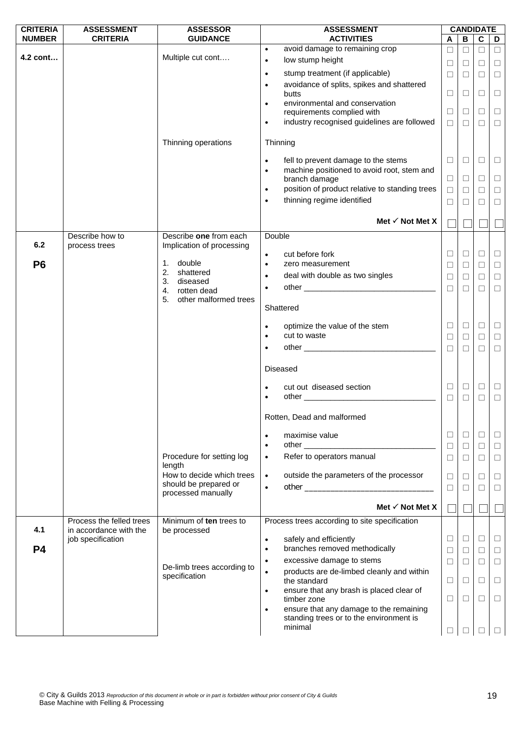| <b>CRITERIA</b> | <b>ASSESSMENT</b>        | <b>ASSESSOR</b>                             | <b>ASSESSMENT</b>                                                                                                                                                                                                              |        |         | <b>CANDIDATE</b>        |        |
|-----------------|--------------------------|---------------------------------------------|--------------------------------------------------------------------------------------------------------------------------------------------------------------------------------------------------------------------------------|--------|---------|-------------------------|--------|
| <b>NUMBER</b>   | <b>CRITERIA</b>          | <b>GUIDANCE</b>                             | <b>ACTIVITIES</b>                                                                                                                                                                                                              | A      | B       | $\overline{\mathbf{c}}$ | D      |
|                 |                          |                                             | avoid damage to remaining crop<br>$\bullet$                                                                                                                                                                                    | $\Box$ | $\Box$  | $\Box$                  | $\Box$ |
| 4.2 cont        |                          | Multiple cut cont                           | low stump height<br>$\bullet$                                                                                                                                                                                                  | $\Box$ | $\Box$  | $\Box$                  | $\Box$ |
|                 |                          |                                             | stump treatment (if applicable)<br>$\bullet$                                                                                                                                                                                   | □      | $\Box$  | $\Box$                  | $\Box$ |
|                 |                          |                                             | avoidance of splits, spikes and shattered<br>$\bullet$                                                                                                                                                                         |        |         |                         |        |
|                 |                          |                                             | butts                                                                                                                                                                                                                          | □      | $\Box$  | $\Box$                  | $\Box$ |
|                 |                          |                                             | environmental and conservation<br>$\bullet$                                                                                                                                                                                    |        |         |                         |        |
|                 |                          |                                             | requirements complied with                                                                                                                                                                                                     | □      | $\Box$  | $\Box$                  | $\Box$ |
|                 |                          |                                             | industry recognised guidelines are followed<br>$\bullet$                                                                                                                                                                       | $\Box$ | $\Box$  | П                       | $\Box$ |
|                 |                          | Thinning operations                         | Thinning                                                                                                                                                                                                                       |        |         |                         |        |
|                 |                          |                                             |                                                                                                                                                                                                                                |        |         |                         |        |
|                 |                          |                                             | fell to prevent damage to the stems<br>$\bullet$                                                                                                                                                                               | ⊔      | $\Box$  | ⊔                       | $\Box$ |
|                 |                          |                                             | machine positioned to avoid root, stem and<br>$\bullet$                                                                                                                                                                        |        |         |                         |        |
|                 |                          |                                             | branch damage                                                                                                                                                                                                                  | $\Box$ | $\Box$  | $\Box$                  | $\Box$ |
|                 |                          |                                             | position of product relative to standing trees<br>$\bullet$                                                                                                                                                                    | $\Box$ | $\Box$  | $\Box$                  | $\Box$ |
|                 |                          |                                             | thinning regime identified<br>$\bullet$                                                                                                                                                                                        | □      | $\perp$ | $\Box$                  | $\Box$ |
|                 |                          |                                             |                                                                                                                                                                                                                                |        |         |                         |        |
|                 |                          |                                             | Met $\checkmark$ Not Met X                                                                                                                                                                                                     |        |         |                         |        |
|                 | Describe how to          | Describe one from each                      | Double                                                                                                                                                                                                                         |        |         |                         |        |
| 6.2             | process trees            | Implication of processing                   |                                                                                                                                                                                                                                |        |         |                         |        |
|                 |                          |                                             | cut before fork<br>$\bullet$                                                                                                                                                                                                   | □      | $\Box$  | $\Box$                  | $\Box$ |
| P <sub>6</sub>  |                          | 1. double<br>2. shattered                   | zero measurement<br>$\bullet$                                                                                                                                                                                                  | □      | $\Box$  | $\Box$                  | $\Box$ |
|                 |                          | 3. diseased                                 | deal with double as two singles<br>$\bullet$                                                                                                                                                                                   | $\Box$ | $\Box$  | $\Box$                  | $\Box$ |
|                 |                          | 4. rotten dead                              | $\bullet$                                                                                                                                                                                                                      | $\Box$ | $\Box$  | П                       | $\Box$ |
|                 |                          | 5.<br>other malformed trees                 |                                                                                                                                                                                                                                |        |         |                         |        |
|                 |                          |                                             | Shattered                                                                                                                                                                                                                      |        |         |                         |        |
|                 |                          |                                             |                                                                                                                                                                                                                                |        |         |                         |        |
|                 |                          |                                             | optimize the value of the stem<br>cut to waste                                                                                                                                                                                 | ⊔      | $\Box$  | □                       | $\Box$ |
|                 |                          |                                             | $\bullet$                                                                                                                                                                                                                      | $\Box$ | $\Box$  | $\Box$                  | $\Box$ |
|                 |                          |                                             |                                                                                                                                                                                                                                | $\Box$ | $\Box$  | $\Box$                  | $\Box$ |
|                 |                          |                                             |                                                                                                                                                                                                                                |        |         |                         |        |
|                 |                          |                                             | <b>Diseased</b>                                                                                                                                                                                                                |        |         |                         |        |
|                 |                          |                                             | cut out diseased section<br>$\bullet$                                                                                                                                                                                          | □      | $\Box$  | $\Box$                  | $\Box$ |
|                 |                          |                                             | other experiences and the contract of the contract of the contract of the contract of the contract of the contract of the contract of the contract of the contract of the contract of the contract of the contract of the cont | $\Box$ | $\Box$  | $\Box$                  | $\Box$ |
|                 |                          |                                             |                                                                                                                                                                                                                                |        |         |                         |        |
|                 |                          |                                             | Rotten, Dead and malformed                                                                                                                                                                                                     |        |         |                         |        |
|                 |                          |                                             |                                                                                                                                                                                                                                |        |         |                         |        |
|                 |                          |                                             | maximise value<br>$\bullet$<br>$\bullet$                                                                                                                                                                                       | □      | $\Box$  | $\Box$                  | ⊔      |
|                 |                          | Procedure for setting log                   | Refer to operators manual                                                                                                                                                                                                      | $\Box$ | $\Box$  | $\Box$                  | $\Box$ |
|                 |                          | length                                      | $\bullet$                                                                                                                                                                                                                      | $\Box$ | $\Box$  | $\Box$                  | $\Box$ |
|                 |                          | How to decide which trees                   | outside the parameters of the processor<br>$\bullet$                                                                                                                                                                           | $\Box$ | $\Box$  | $\Box$                  | $\Box$ |
|                 |                          | should be prepared or                       | $\bullet$                                                                                                                                                                                                                      | □      | $\Box$  | П                       | $\Box$ |
|                 |                          | processed manually                          |                                                                                                                                                                                                                                |        |         |                         |        |
|                 |                          |                                             | Met $\checkmark$ Not Met X                                                                                                                                                                                                     |        |         |                         |        |
|                 | Process the felled trees | Minimum of ten trees to                     | Process trees according to site specification                                                                                                                                                                                  |        |         |                         |        |
| 4.1             | in accordance with the   | be processed                                |                                                                                                                                                                                                                                |        |         |                         |        |
|                 | job specification        |                                             | safely and efficiently<br>$\bullet$                                                                                                                                                                                            | ⊔      | $\Box$  | ⊔                       | $\Box$ |
| P <sub>4</sub>  |                          |                                             | branches removed methodically<br>$\bullet$                                                                                                                                                                                     | $\Box$ | $\Box$  | $\Box$                  | $\Box$ |
|                 |                          |                                             | excessive damage to stems<br>$\bullet$                                                                                                                                                                                         | □      | $\Box$  | $\Box$                  | $\Box$ |
|                 |                          | De-limb trees according to<br>specification | products are de-limbed cleanly and within<br>$\bullet$                                                                                                                                                                         |        |         |                         |        |
|                 |                          |                                             | the standard                                                                                                                                                                                                                   | Ц      | $\Box$  | □                       | $\Box$ |
|                 |                          |                                             | ensure that any brash is placed clear of<br>$\bullet$                                                                                                                                                                          |        |         |                         |        |
|                 |                          |                                             | timber zone                                                                                                                                                                                                                    | ⊔      | $\Box$  | □                       | $\Box$ |
|                 |                          |                                             | ensure that any damage to the remaining<br>$\bullet$<br>standing trees or to the environment is                                                                                                                                |        |         |                         |        |
|                 |                          |                                             | minimal                                                                                                                                                                                                                        |        |         |                         |        |
|                 |                          |                                             |                                                                                                                                                                                                                                | ⊔      |         |                         |        |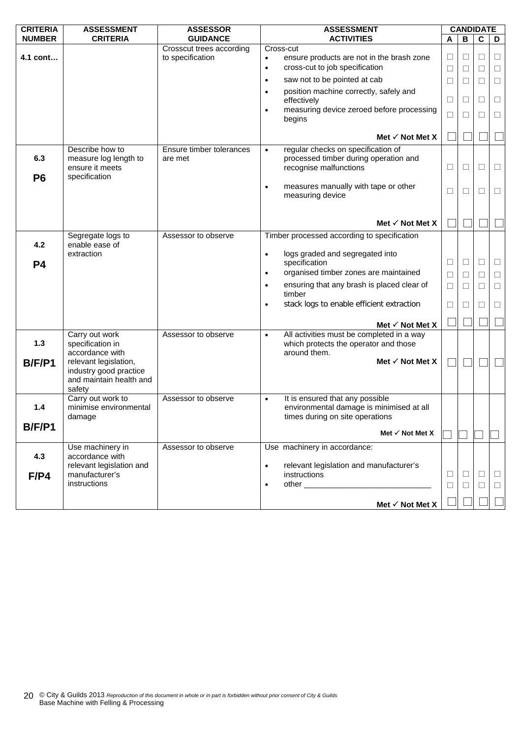| <b>CRITERIA</b>       | <b>ASSESSMENT</b>                                                                    | <b>ASSESSOR</b>                              | <b>ASSESSMENT</b>                                                                                                           |             |        | <b>CANDIDATE</b> |                  |
|-----------------------|--------------------------------------------------------------------------------------|----------------------------------------------|-----------------------------------------------------------------------------------------------------------------------------|-------------|--------|------------------|------------------|
| <b>NUMBER</b>         | <b>CRITERIA</b>                                                                      | <b>GUIDANCE</b>                              | <b>ACTIVITIES</b>                                                                                                           | A           | в      | $\mathbf c$      | D                |
| 4.1 cont              |                                                                                      | Crosscut trees according<br>to specification | Cross-cut<br>ensure products are not in the brash zone<br>$\bullet$<br>cross-cut to job specification<br>$\bullet$          | □<br>$\Box$ | ⊔<br>□ | □<br>$\Box$      | $\Box$<br>$\Box$ |
|                       |                                                                                      |                                              | saw not to be pointed at cab<br>$\bullet$                                                                                   | $\Box$      | П      | $\Box$           | $\Box$           |
|                       |                                                                                      |                                              | position machine correctly, safely and<br>$\bullet$<br>effectively                                                          | $\Box$      | □      | $\Box$           | $\Box$           |
|                       |                                                                                      |                                              | measuring device zeroed before processing<br>$\bullet$<br>begins                                                            | $\Box$      | П      | П                | $\Box$           |
|                       |                                                                                      |                                              | Met $\checkmark$ Not Met X                                                                                                  |             |        |                  |                  |
| 6.3<br>P <sub>6</sub> | Describe how to<br>measure log length to<br>ensure it meets<br>specification         | Ensure timber tolerances<br>are met          | regular checks on specification of<br>$\bullet$<br>processed timber during operation and<br>recognise malfunctions          | □           | □      | ⊔                | $\Box$           |
|                       |                                                                                      |                                              | measures manually with tape or other<br>$\bullet$<br>measuring device                                                       | □           | П      | П                | $\Box$           |
|                       |                                                                                      |                                              | Met $\checkmark$ Not Met X                                                                                                  |             |        |                  |                  |
| 4.2                   | Segregate logs to<br>enable ease of                                                  | Assessor to observe                          | Timber processed according to specification                                                                                 |             |        |                  |                  |
| <b>P4</b>             | extraction                                                                           |                                              | logs graded and segregated into<br>$\bullet$<br>specification                                                               | □           | ⊔      | □                | $\Box$           |
|                       |                                                                                      |                                              | organised timber zones are maintained<br>$\bullet$                                                                          | $\Box$      | $\Box$ | $\Box$           | $\Box$           |
|                       |                                                                                      |                                              | ensuring that any brash is placed clear of<br>$\bullet$<br>timber                                                           | $\Box$      | П      | $\Box$           | $\Box$           |
|                       |                                                                                      |                                              | stack logs to enable efficient extraction<br>$\bullet$                                                                      | $\Box$      | $\Box$ | □                | $\Box$           |
|                       |                                                                                      |                                              | Met $\checkmark$ Not Met X                                                                                                  |             |        |                  |                  |
| 1.3                   | Carry out work<br>specification in<br>accordance with                                | Assessor to observe                          | All activities must be completed in a way<br>$\bullet$<br>which protects the operator and those<br>around them.             |             |        |                  |                  |
| <b>B/F/P1</b>         | relevant legislation,<br>industry good practice<br>and maintain health and<br>safety |                                              | Met $\checkmark$ Not Met X                                                                                                  |             |        |                  |                  |
| 1.4                   | Carry out work to<br>minimise environmental<br>damage                                | Assessor to observe                          | It is ensured that any possible<br>$\bullet$<br>environmental damage is minimised at all<br>times during on site operations |             |        |                  |                  |
| <b>B/F/P1</b>         |                                                                                      |                                              | Met $\checkmark$ Not Met X                                                                                                  |             |        |                  |                  |
| 4.3                   | Use machinery in<br>accordance with                                                  | Assessor to observe                          | Use machinery in accordance:                                                                                                |             |        |                  |                  |
|                       | relevant legislation and                                                             |                                              | relevant legislation and manufacturer's<br>$\bullet$                                                                        |             |        |                  |                  |
| F/P4                  | manufacturer's                                                                       |                                              | instructions                                                                                                                | □           | $\Box$ | □                | $\Box$           |
|                       | instructions                                                                         |                                              | $\bullet$                                                                                                                   | □           | $\Box$ | $\Box$           | $\Box$           |
|                       |                                                                                      |                                              | Met √ Not Met X                                                                                                             |             |        |                  |                  |